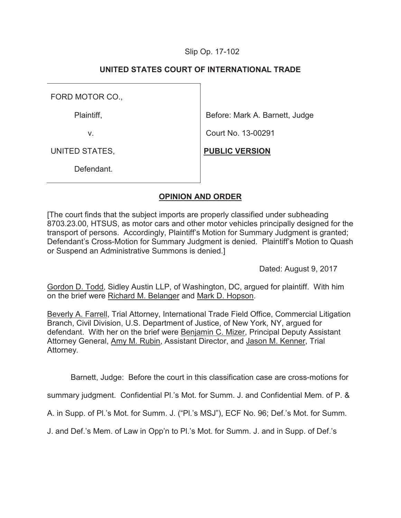## Slip Op. 17-102

# **UNITED STATES COURT OF INTERNATIONAL TRADE**

FORD MOTOR CO.,

Plaintiff,

v.

Before: Mark A. Barnett, Judge

Court No. 13-00291

**PUBLIC VERSION**

UNITED STATES,

Defendant.

# **OPINION AND ORDER**

[The court finds that the subject imports are properly classified under subheading 8703.23.00, HTSUS, as motor cars and other motor vehicles principally designed for the transport of persons. Accordingly, Plaintiff's Motion for Summary Judgment is granted; Defendant's Cross-Motion for Summary Judgment is denied. Plaintiff's Motion to Quash or Suspend an Administrative Summons is denied.]

Dated: August 9, 2017

Gordon D. Todd, Sidley Austin LLP, of Washington, DC, argued for plaintiff. With him on the brief were Richard M. Belanger and Mark D. Hopson.

Beverly A. Farrell, Trial Attorney, International Trade Field Office, Commercial Litigation Branch, Civil Division, U.S. Department of Justice, of New York, NY, argued for defendant. With her on the brief were Benjamin C. Mizer, Principal Deputy Assistant Attorney General, Amy M. Rubin, Assistant Director, and Jason M. Kenner, Trial Attorney*.*

Barnett, Judge: Before the court in this classification case are cross-motions for

summary judgment. Confidential Pl.'s Mot. for Summ. J. and Confidential Mem. of P. &

A. in Supp. of Pl.'s Mot. for Summ. J. ("Pl.'s MSJ"), ECF No. 96; Def.'s Mot. for Summ.

J. and Def.'s Mem. of Law in Opp'n to Pl.'s Mot. for Summ. J. and in Supp. of Def.'s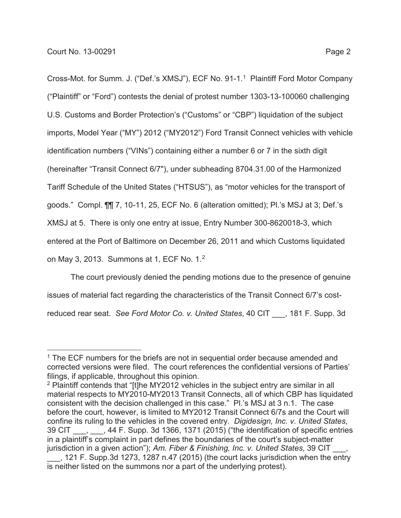Cross-Mot. for Summ. J. ("Def.'s XMSJ"), ECF No. 91-1.1 Plaintiff Ford Motor Company ("Plaintiff" or "Ford") contests the denial of protest number 1303-13-100060 challenging U.S. Customs and Border Protection's ("Customs" or "CBP") liquidation of the subject imports, Model Year ("MY") 2012 ("MY2012") Ford Transit Connect vehicles with vehicle identification numbers ("VINs") containing either a number 6 or 7 in the sixth digit (hereinafter "Transit Connect 6/7"), under subheading 8704.31.00 of the Harmonized Tariff Schedule of the United States ("HTSUS"), as "motor vehicles for the transport of goods." Compl. ¶¶ 7, 10-11, 25, ECF No. 6 (alteration omitted); Pl.'s MSJ at 3; Def.'s XMSJ at 5. There is only one entry at issue, Entry Number 300-8620018-3, which entered at the Port of Baltimore on December 26, 2011 and which Customs liquidated on May 3, 2013. Summons at 1, ECF No. 1.2

The court previously denied the pending motions due to the presence of genuine issues of material fact regarding the characteristics of the Transit Connect 6/7's costreduced rear seat. *See Ford Motor Co. v. United States*, 40 CIT \_\_\_, 181 F. Supp. 3d

<sup>&</sup>lt;sup>1</sup> The ECF numbers for the briefs are not in sequential order because amended and corrected versions were filed. The court references the confidential versions of Parties' filings, if applicable, throughout this opinion.

<sup>&</sup>lt;sup>2</sup> Plaintiff contends that "[t]he MY2012 vehicles in the subject entry are similar in all material respects to MY2010-MY2013 Transit Connects, all of which CBP has liquidated consistent with the decision challenged in this case." Pl.'s MSJ at 3 n.1. The case before the court, however, is limited to MY2012 Transit Connect 6/7s and the Court will confine its ruling to the vehicles in the covered entry. *Digidesign, Inc. v. United States*, 39 CIT \_\_\_, \_\_\_, 44 F. Supp. 3d 1366, 1371 (2015) ("the identification of specific entries in a plaintiff's complaint in part defines the boundaries of the court's subject-matter jurisdiction in a given action"); Am. Fiber & Finishing, Inc. v. United States, 39 CIT

\_\_\_, 121 F. Supp.3d 1273, 1287 n.47 (2015) (the court lacks jurisdiction when the entry is neither listed on the summons nor a part of the underlying protest).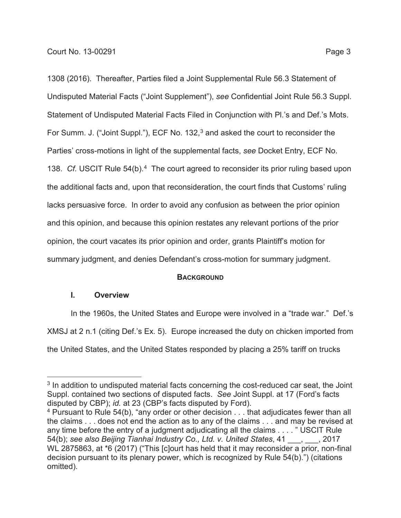1308 (2016). Thereafter, Parties filed a Joint Supplemental Rule 56.3 Statement of Undisputed Material Facts ("Joint Supplement"), *see* Confidential Joint Rule 56.3 Suppl. Statement of Undisputed Material Facts Filed in Conjunction with Pl.'s and Def.'s Mots. For Summ. J. ("Joint Suppl."), ECF No. 132,<sup>3</sup> and asked the court to reconsider the Parties' cross-motions in light of the supplemental facts, *see* Docket Entry, ECF No. 138. *Cf.* USCIT Rule 54(b).<sup>4</sup> The court agreed to reconsider its prior ruling based upon the additional facts and, upon that reconsideration, the court finds that Customs' ruling lacks persuasive force. In order to avoid any confusion as between the prior opinion and this opinion, and because this opinion restates any relevant portions of the prior opinion, the court vacates its prior opinion and order, grants Plaintiff's motion for summary judgment, and denies Defendant's cross-motion for summary judgment.

## **BACKGROUND**

## **I. Overview**

In the 1960s, the United States and Europe were involved in a "trade war." Def.'s XMSJ at 2 n.1 (citing Def.'s Ex. 5). Europe increased the duty on chicken imported from the United States, and the United States responded by placing a 25% tariff on trucks

<sup>&</sup>lt;sup>3</sup> In addition to undisputed material facts concerning the cost-reduced car seat, the Joint Suppl. contained two sections of disputed facts. *See* Joint Suppl. at 17 (Ford's facts disputed by CBP); *id.* at 23 (CBP's facts disputed by Ford).

<sup>&</sup>lt;sup>4</sup> Pursuant to Rule 54(b), "any order or other decision . . . that adjudicates fewer than all the claims . . . does not end the action as to any of the claims . . . and may be revised at any time before the entry of a judgment adjudicating all the claims . . . . " USCIT Rule 54(b); *see also Beijing Tianhai Industry Co., Ltd. v. United States*, 41 \_\_\_, \_\_\_, 2017 WL 2875863, at \*6 (2017) ("This [c]ourt has held that it may reconsider a prior, non-final decision pursuant to its plenary power, which is recognized by Rule 54(b).") (citations omitted).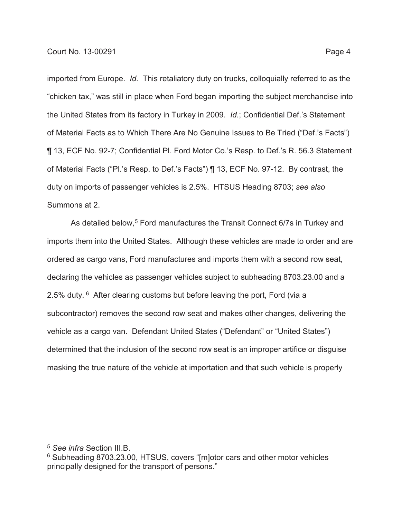imported from Europe. *Id.* This retaliatory duty on trucks, colloquially referred to as the "chicken tax," was still in place when Ford began importing the subject merchandise into the United States from its factory in Turkey in 2009. *Id.*; Confidential Def.'s Statement of Material Facts as to Which There Are No Genuine Issues to Be Tried ("Def.'s Facts") ¶ 13, ECF No. 92-7; Confidential Pl. Ford Motor Co.'s Resp. to Def.'s R. 56.3 Statement of Material Facts ("Pl.'s Resp. to Def.'s Facts") ¶ 13, ECF No. 97-12. By contrast, the duty on imports of passenger vehicles is 2.5%. HTSUS Heading 8703; *see also*  Summons at 2.

As detailed below,<sup>5</sup> Ford manufactures the Transit Connect 6/7s in Turkey and imports them into the United States. Although these vehicles are made to order and are ordered as cargo vans, Ford manufactures and imports them with a second row seat, declaring the vehicles as passenger vehicles subject to subheading 8703.23.00 and a 2.5% duty. <sup>6</sup> After clearing customs but before leaving the port, Ford (via a subcontractor) removes the second row seat and makes other changes, delivering the vehicle as a cargo van. Defendant United States ("Defendant" or "United States") determined that the inclusion of the second row seat is an improper artifice or disguise masking the true nature of the vehicle at importation and that such vehicle is properly

<sup>5</sup> *See infra* Section III.B.

<sup>6</sup> Subheading 8703.23.00, HTSUS, covers "[m]otor cars and other motor vehicles principally designed for the transport of persons."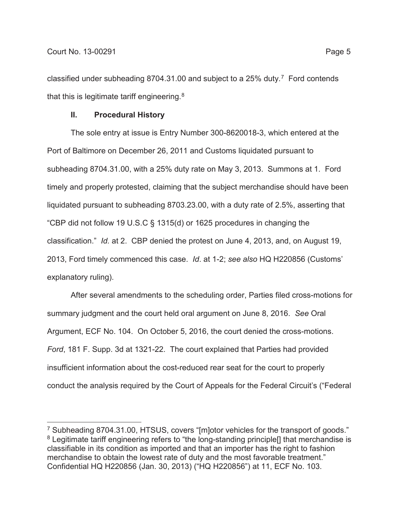classified under subheading 8704.31.00 and subject to a 25% duty.7 Ford contends that this is legitimate tariff engineering.8

### **II. Procedural History**

The sole entry at issue is Entry Number 300-8620018-3, which entered at the Port of Baltimore on December 26, 2011 and Customs liquidated pursuant to subheading 8704.31.00, with a 25% duty rate on May 3, 2013. Summons at 1. Ford timely and properly protested, claiming that the subject merchandise should have been liquidated pursuant to subheading 8703.23.00, with a duty rate of 2.5%, asserting that "CBP did not follow 19 U.S.C § 1315(d) or 1625 procedures in changing the classification." *Id.* at 2. CBP denied the protest on June 4, 2013, and, on August 19, 2013, Ford timely commenced this case. *Id*. at 1-2; *see also* HQ H220856 (Customs' explanatory ruling).

After several amendments to the scheduling order, Parties filed cross-motions for summary judgment and the court held oral argument on June 8, 2016. *See* Oral Argument, ECF No. 104. On October 5, 2016, the court denied the cross-motions. *Ford*, 181 F. Supp. 3d at 1321-22. The court explained that Parties had provided insufficient information about the cost-reduced rear seat for the court to properly conduct the analysis required by the Court of Appeals for the Federal Circuit's ("Federal

<sup>7</sup> Subheading 8704.31.00, HTSUS, covers "[m]otor vehicles for the transport of goods." <sup>8</sup> Legitimate tariff engineering refers to "the long-standing principle<sup>[]</sup> that merchandise is classifiable in its condition as imported and that an importer has the right to fashion merchandise to obtain the lowest rate of duty and the most favorable treatment." Confidential HQ H220856 (Jan. 30, 2013) ("HQ H220856") at 11, ECF No. 103.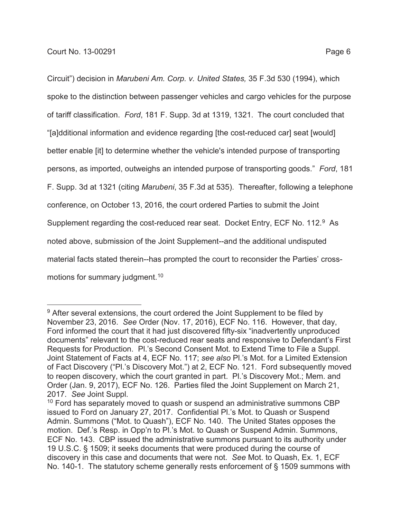Circuit") decision in *Marubeni Am. Corp. v. United States,* 35 F.3d 530 (1994), which spoke to the distinction between passenger vehicles and cargo vehicles for the purpose of tariff classification. *Ford*, 181 F. Supp. 3d at 1319, 1321. The court concluded that "[a]dditional information and evidence regarding [the cost-reduced car] seat [would] better enable [it] to determine whether the vehicle's intended purpose of transporting persons, as imported, outweighs an intended purpose of transporting goods." *Ford*, 181 F. Supp. 3d at 1321 (citing *Marubeni*, 35 F.3d at 535). Thereafter, following a telephone conference, on October 13, 2016, the court ordered Parties to submit the Joint Supplement regarding the cost-reduced rear seat. Docket Entry, ECF No. 112.<sup>9</sup> As noted above, submission of the Joint Supplement--and the additional undisputed material facts stated therein--has prompted the court to reconsider the Parties' crossmotions for summary judgment.<sup>10</sup>

<sup>&</sup>lt;sup>9</sup> After several extensions, the court ordered the Joint Supplement to be filed by November 23, 2016. *See* Order (Nov. 17, 2016), ECF No. 116. However, that day, Ford informed the court that it had just discovered fifty-six "inadvertently unproduced documents" relevant to the cost-reduced rear seats and responsive to Defendant's First Requests for Production. Pl.'s Second Consent Mot. to Extend Time to File a Suppl. Joint Statement of Facts at 4, ECF No. 117; *see also* Pl.'s Mot. for a Limited Extension of Fact Discovery ("Pl.'s Discovery Mot.") at 2, ECF No. 121. Ford subsequently moved to reopen discovery, which the court granted in part. Pl.'s Discovery Mot.; Mem. and Order (Jan. 9, 2017), ECF No. 126. Parties filed the Joint Supplement on March 21, 2017. *See* Joint Suppl.

<sup>&</sup>lt;sup>10</sup> Ford has separately moved to quash or suspend an administrative summons CBP issued to Ford on January 27, 2017. Confidential Pl.'s Mot. to Quash or Suspend Admin. Summons ("Mot. to Quash"), ECF No. 140. The United States opposes the motion. Def.'s Resp. in Opp'n to Pl.'s Mot. to Quash or Suspend Admin. Summons, ECF No. 143. CBP issued the administrative summons pursuant to its authority under 19 U.S.C. § 1509; it seeks documents that were produced during the course of discovery in this case and documents that were not. *See* Mot. to Quash, Ex. 1, ECF No. 140-1. The statutory scheme generally rests enforcement of § 1509 summons with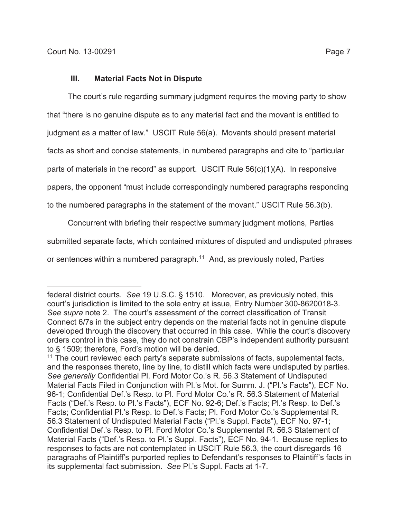The court's rule regarding summary judgment requires the moving party to show that "there is no genuine dispute as to any material fact and the movant is entitled to judgment as a matter of law." USCIT Rule 56(a). Movants should present material facts as short and concise statements, in numbered paragraphs and cite to "particular parts of materials in the record" as support. USCIT Rule 56(c)(1)(A). In responsive papers, the opponent "must include correspondingly numbered paragraphs responding to the numbered paragraphs in the statement of the movant." USCIT Rule 56.3(b).

Concurrent with briefing their respective summary judgment motions, Parties

submitted separate facts, which contained mixtures of disputed and undisputed phrases

or sentences within a numbered paragraph.<sup>11</sup> And, as previously noted, Parties

federal district courts. *See* 19 U.S.C. § 1510. Moreover, as previously noted, this court's jurisdiction is limited to the sole entry at issue, Entry Number 300-8620018-3. *See supra* note 2. The court's assessment of the correct classification of Transit Connect 6/7s in the subject entry depends on the material facts not in genuine dispute developed through the discovery that occurred in this case. While the court's discovery orders control in this case, they do not constrain CBP's independent authority pursuant to § 1509; therefore, Ford's motion will be denied.

 $11$  The court reviewed each party's separate submissions of facts, supplemental facts, and the responses thereto, line by line, to distill which facts were undisputed by parties. *See generally* Confidential Pl. Ford Motor Co.'s R. 56.3 Statement of Undisputed Material Facts Filed in Conjunction with Pl.'s Mot. for Summ. J. ("Pl.'s Facts"), ECF No. 96-1; Confidential Def.'s Resp. to Pl. Ford Motor Co.'s R. 56.3 Statement of Material Facts ("Def.'s Resp. to Pl.'s Facts"), ECF No. 92-6; Def.'s Facts; Pl.'s Resp. to Def.'s Facts; Confidential Pl.'s Resp. to Def.'s Facts; Pl. Ford Motor Co.'s Supplemental R. 56.3 Statement of Undisputed Material Facts ("Pl.'s Suppl. Facts"), ECF No. 97-1; Confidential Def.'s Resp. to Pl. Ford Motor Co.'s Supplemental R. 56.3 Statement of Material Facts ("Def.'s Resp. to Pl.'s Suppl. Facts"), ECF No. 94-1. Because replies to responses to facts are not contemplated in USCIT Rule 56.3, the court disregards 16 paragraphs of Plaintiff's purported replies to Defendant's responses to Plaintiff's facts in its supplemental fact submission. *See* Pl.'s Suppl. Facts at 1-7.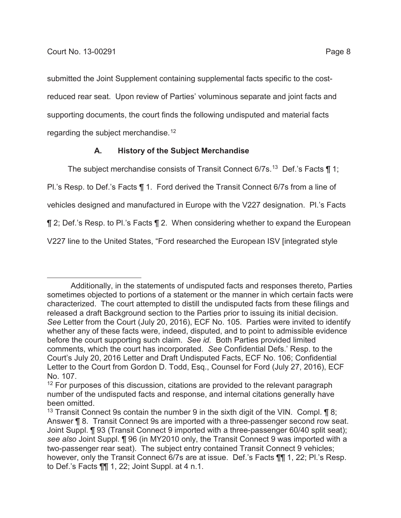submitted the Joint Supplement containing supplemental facts specific to the costreduced rear seat. Upon review of Parties' voluminous separate and joint facts and supporting documents, the court finds the following undisputed and material facts regarding the subject merchandise.<sup>12</sup>

# **A. History of the Subject Merchandise**

The subiect merchandise consists of Transit Connect  $6/7s$ .<sup>13</sup> Def.'s Facts  $\P$  1;

Pl.'s Resp. to Def.'s Facts ¶ 1. Ford derived the Transit Connect 6/7s from a line of

vehicles designed and manufactured in Europe with the V227 designation. Pl.'s Facts

¶ 2; Def.'s Resp. to Pl.'s Facts ¶ 2. When considering whether to expand the European

V227 line to the United States, "Ford researched the European ISV [integrated style

Additionally, in the statements of undisputed facts and responses thereto, Parties sometimes objected to portions of a statement or the manner in which certain facts were characterized. The court attempted to distill the undisputed facts from these filings and released a draft Background section to the Parties prior to issuing its initial decision. *See* Letter from the Court (July 20, 2016), ECF No. 105. Parties were invited to identify whether any of these facts were, indeed, disputed, and to point to admissible evidence before the court supporting such claim. *See id.* Both Parties provided limited comments, which the court has incorporated. *See* Confidential Defs.' Resp. to the Court's July 20, 2016 Letter and Draft Undisputed Facts, ECF No. 106; Confidential Letter to the Court from Gordon D. Todd, Esq., Counsel for Ford (July 27, 2016), ECF No. 107.

<sup>&</sup>lt;sup>12</sup> For purposes of this discussion, citations are provided to the relevant paragraph number of the undisputed facts and response, and internal citations generally have been omitted.

<sup>&</sup>lt;sup>13</sup> Transit Connect 9s contain the number 9 in the sixth digit of the VIN. Compl.  $\P$ 8; Answer ¶ 8. Transit Connect 9s are imported with a three-passenger second row seat. Joint Suppl. ¶ 93 (Transit Connect 9 imported with a three-passenger 60/40 split seat); *see also* Joint Suppl. ¶ 96 (in MY2010 only, the Transit Connect 9 was imported with a two-passenger rear seat). The subject entry contained Transit Connect 9 vehicles; however, only the Transit Connect 6/7s are at issue. Def.'s Facts 11, 22; Pl.'s Resp. to Def.'s Facts ¶¶ 1, 22; Joint Suppl. at 4 n.1.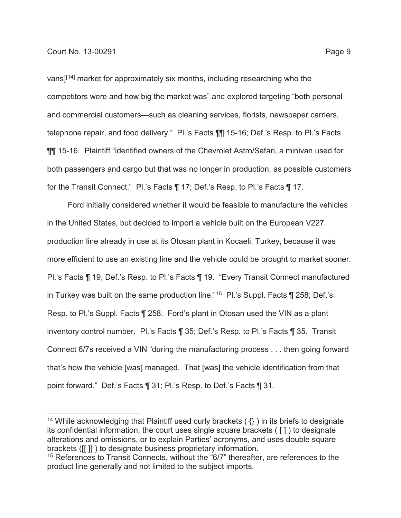vans][14] market for approximately six months, including researching who the competitors were and how big the market was" and explored targeting "both personal and commercial customers—such as cleaning services, florists, newspaper carriers, telephone repair, and food delivery." Pl.'s Facts ¶¶ 15-16; Def.'s Resp. to Pl.'s Facts ¶¶ 15-16. Plaintiff "identified owners of the Chevrolet Astro/Safari, a minivan used for both passengers and cargo but that was no longer in production, as possible customers for the Transit Connect." Pl.'s Facts ¶ 17; Def.'s Resp. to Pl.'s Facts ¶ 17.

Ford initially considered whether it would be feasible to manufacture the vehicles in the United States, but decided to import a vehicle built on the European V227 production line already in use at its Otosan plant in Kocaeli, Turkey, because it was more efficient to use an existing line and the vehicle could be brought to market sooner. Pl.'s Facts ¶ 19; Def.'s Resp. to Pl.'s Facts ¶ 19. "Every Transit Connect manufactured in Turkey was built on the same production line."<sup>15</sup> Pl.'s Suppl. Facts ¶ 258; Def.'s Resp. to Pl.'s Suppl. Facts ¶ 258. Ford's plant in Otosan used the VIN as a plant inventory control number. Pl.'s Facts ¶ 35; Def.'s Resp. to Pl.'s Facts ¶ 35. Transit Connect 6/7s received a VIN "during the manufacturing process . . . then going forward that's how the vehicle [was] managed. That [was] the vehicle identification from that point forward." Def.'s Facts ¶ 31; Pl.'s Resp. to Def.'s Facts ¶ 31.

<sup>&</sup>lt;sup>14</sup> While acknowledging that Plaintiff used curly brackets ( $\{\}$ ) in its briefs to designate its confidential information, the court uses single square brackets ( [ ] ) to designate alterations and omissions, or to explain Parties' acronyms, and uses double square brackets ([[ ]] ) to designate business proprietary information.

<sup>&</sup>lt;sup>15</sup> References to Transit Connects, without the "6/7" thereafter, are references to the product line generally and not limited to the subject imports.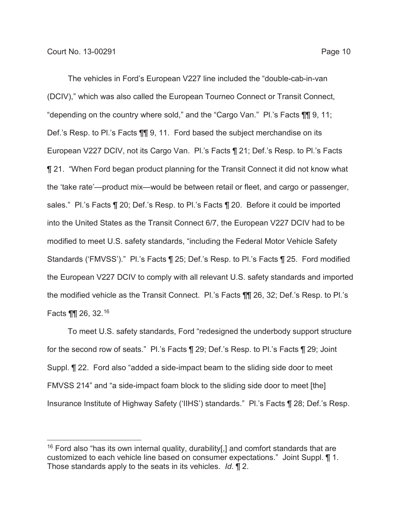The vehicles in Ford's European V227 line included the "double-cab-in-van (DCIV)," which was also called the European Tourneo Connect or Transit Connect, "depending on the country where sold," and the "Cargo Van." Pl.'s Facts ¶¶ 9, 11; Def.'s Resp. to Pl.'s Facts  $\P\P$  9, 11. Ford based the subject merchandise on its European V227 DCIV, not its Cargo Van. Pl.'s Facts ¶ 21; Def.'s Resp. to Pl.'s Facts ¶ 21. "When Ford began product planning for the Transit Connect it did not know what the 'take rate'—product mix—would be between retail or fleet, and cargo or passenger, sales." Pl.'s Facts ¶ 20; Def.'s Resp. to Pl.'s Facts ¶ 20. Before it could be imported into the United States as the Transit Connect 6/7, the European V227 DCIV had to be modified to meet U.S. safety standards, "including the Federal Motor Vehicle Safety Standards ('FMVSS')." Pl.'s Facts ¶ 25; Def.'s Resp. to Pl.'s Facts ¶ 25. Ford modified the European V227 DCIV to comply with all relevant U.S. safety standards and imported the modified vehicle as the Transit Connect. Pl.'s Facts ¶¶ 26, 32; Def.'s Resp. to Pl.'s Facts ¶¶ 26, 32.16

To meet U.S. safety standards, Ford "redesigned the underbody support structure for the second row of seats." Pl.'s Facts ¶ 29; Def.'s Resp. to Pl.'s Facts ¶ 29; Joint Suppl. ¶ 22. Ford also "added a side-impact beam to the sliding side door to meet FMVSS 214" and "a side-impact foam block to the sliding side door to meet [the] Insurance Institute of Highway Safety ('IIHS') standards." Pl.'s Facts ¶ 28; Def.'s Resp.

<sup>&</sup>lt;sup>16</sup> Ford also "has its own internal quality, durability[,] and comfort standards that are customized to each vehicle line based on consumer expectations." Joint Suppl. ¶ 1. Those standards apply to the seats in its vehicles. *Id*. ¶ 2.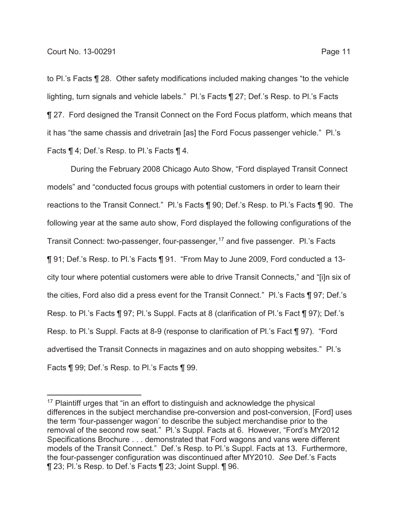to Pl.'s Facts ¶ 28. Other safety modifications included making changes "to the vehicle lighting, turn signals and vehicle labels." Pl.'s Facts ¶ 27; Def.'s Resp. to Pl.'s Facts ¶ 27. Ford designed the Transit Connect on the Ford Focus platform, which means that it has "the same chassis and drivetrain [as] the Ford Focus passenger vehicle." Pl.'s Facts ¶ 4; Def.'s Resp. to Pl.'s Facts ¶ 4.

During the February 2008 Chicago Auto Show, "Ford displayed Transit Connect models" and "conducted focus groups with potential customers in order to learn their reactions to the Transit Connect." Pl.'s Facts ¶ 90; Def.'s Resp. to Pl.'s Facts ¶ 90. The following year at the same auto show, Ford displayed the following configurations of the Transit Connect: two-passenger, four-passenger,17 and five passenger. Pl.'s Facts ¶ 91; Def.'s Resp. to Pl.'s Facts ¶ 91. "From May to June 2009, Ford conducted a 13 city tour where potential customers were able to drive Transit Connects," and "[i]n six of the cities, Ford also did a press event for the Transit Connect." Pl.'s Facts ¶ 97; Def.'s Resp. to Pl.'s Facts ¶ 97; Pl.'s Suppl. Facts at 8 (clarification of Pl.'s Fact ¶ 97); Def.'s Resp. to Pl.'s Suppl. Facts at 8-9 (response to clarification of Pl.'s Fact ¶ 97). "Ford advertised the Transit Connects in magazines and on auto shopping websites." Pl.'s Facts ¶ 99; Def.'s Resp. to Pl.'s Facts ¶ 99.

<sup>&</sup>lt;sup>17</sup> Plaintiff urges that "in an effort to distinguish and acknowledge the physical differences in the subject merchandise pre-conversion and post-conversion, [Ford] uses the term 'four-passenger wagon' to describe the subject merchandise prior to the removal of the second row seat." Pl.'s Suppl. Facts at 6. However, "Ford's MY2012 Specifications Brochure . . . demonstrated that Ford wagons and vans were different models of the Transit Connect." Def.'s Resp. to Pl.'s Suppl. Facts at 13. Furthermore, the four-passenger configuration was discontinued after MY2010. *See* Def.'s Facts ¶ 23; Pl.'s Resp. to Def.'s Facts ¶ 23; Joint Suppl. ¶ 96.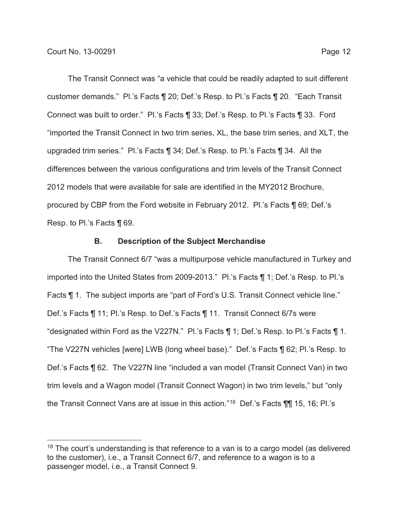The Transit Connect was "a vehicle that could be readily adapted to suit different customer demands." Pl.'s Facts ¶ 20; Def.'s Resp. to Pl.'s Facts ¶ 20. "Each Transit Connect was built to order." Pl.'s Facts ¶ 33; Def.'s Resp. to Pl.'s Facts ¶ 33. Ford "imported the Transit Connect in two trim series, XL, the base trim series, and XLT, the upgraded trim series." Pl.'s Facts ¶ 34; Def.'s Resp. to Pl.'s Facts ¶ 34. All the differences between the various configurations and trim levels of the Transit Connect 2012 models that were available for sale are identified in the MY2012 Brochure, procured by CBP from the Ford website in February 2012. Pl.'s Facts ¶ 69; Def.'s Resp. to Pl.'s Facts ¶ 69.

### **B. Description of the Subject Merchandise**

The Transit Connect 6/7 "was a multipurpose vehicle manufactured in Turkey and imported into the United States from 2009-2013." Pl.'s Facts ¶ 1; Def.'s Resp. to Pl.'s Facts ¶ 1. The subject imports are "part of Ford's U.S. Transit Connect vehicle line." Def.'s Facts ¶ 11; Pl.'s Resp. to Def.'s Facts ¶ 11. Transit Connect 6/7s were "designated within Ford as the V227N." Pl.'s Facts ¶ 1; Def.'s Resp. to Pl.'s Facts ¶ 1. "The V227N vehicles [were] LWB (long wheel base)." Def.'s Facts ¶ 62; Pl.'s Resp. to Def.'s Facts ¶ 62. The V227N line "included a van model (Transit Connect Van) in two trim levels and a Wagon model (Transit Connect Wagon) in two trim levels," but "only the Transit Connect Vans are at issue in this action."18 Def.'s Facts ¶¶ 15, 16; Pl.'s

 $18$  The court's understanding is that reference to a van is to a cargo model (as delivered to the customer), i.e., a Transit Connect 6/7, and reference to a wagon is to a passenger model, i.e., a Transit Connect 9.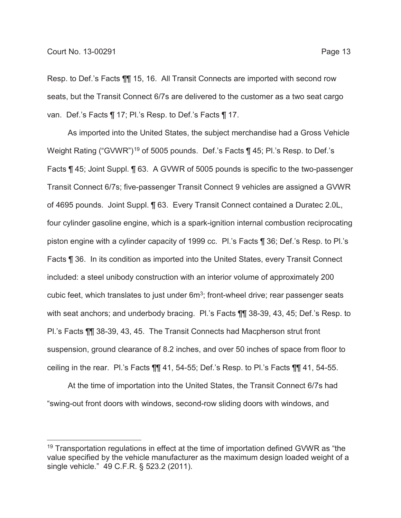Resp. to Def.'s Facts ¶¶ 15, 16. All Transit Connects are imported with second row seats, but the Transit Connect 6/7s are delivered to the customer as a two seat cargo van. Def.'s Facts ¶ 17; Pl.'s Resp. to Def.'s Facts ¶ 17.

As imported into the United States, the subject merchandise had a Gross Vehicle Weight Rating ("GVWR")<sup>19</sup> of 5005 pounds. Def.'s Facts ¶ 45; Pl.'s Resp. to Def.'s Facts ¶ 45; Joint Suppl. ¶ 63. A GVWR of 5005 pounds is specific to the two-passenger Transit Connect 6/7s; five-passenger Transit Connect 9 vehicles are assigned a GVWR of 4695 pounds. Joint Suppl. ¶ 63. Every Transit Connect contained a Duratec 2.0L, four cylinder gasoline engine, which is a spark-ignition internal combustion reciprocating piston engine with a cylinder capacity of 1999 cc. Pl.'s Facts ¶ 36; Def.'s Resp. to Pl.'s Facts ¶ 36. In its condition as imported into the United States, every Transit Connect included: a steel unibody construction with an interior volume of approximately 200 cubic feet, which translates to just under  $6m^3$ ; front-wheel drive; rear passenger seats with seat anchors; and underbody bracing. Pl.'s Facts ¶¶ 38-39, 43, 45; Def.'s Resp. to Pl.'s Facts ¶¶ 38-39, 43, 45. The Transit Connects had Macpherson strut front suspension, ground clearance of 8.2 inches, and over 50 inches of space from floor to ceiling in the rear. Pl.'s Facts ¶¶ 41, 54-55; Def.'s Resp. to Pl.'s Facts ¶¶ 41, 54-55.

At the time of importation into the United States, the Transit Connect 6/7s had "swing-out front doors with windows, second-row sliding doors with windows, and

<sup>&</sup>lt;sup>19</sup> Transportation regulations in effect at the time of importation defined GVWR as "the value specified by the vehicle manufacturer as the maximum design loaded weight of a single vehicle." 49 C.F.R. § 523.2 (2011).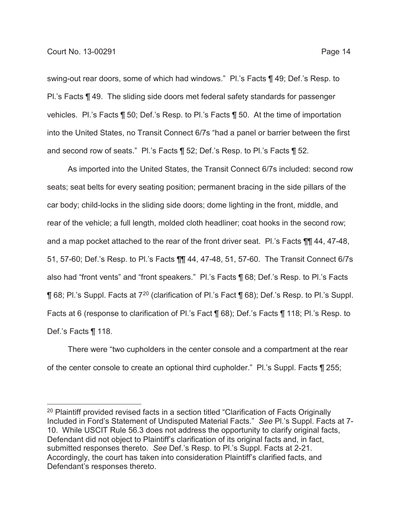swing-out rear doors, some of which had windows." Pl.'s Facts ¶ 49; Def.'s Resp. to Pl.'s Facts ¶ 49. The sliding side doors met federal safety standards for passenger vehicles. Pl.'s Facts ¶ 50; Def.'s Resp. to Pl.'s Facts ¶ 50. At the time of importation into the United States, no Transit Connect 6/7s "had a panel or barrier between the first and second row of seats." Pl.'s Facts ¶ 52; Def.'s Resp. to Pl.'s Facts ¶ 52.

As imported into the United States, the Transit Connect 6/7s included: second row seats; seat belts for every seating position; permanent bracing in the side pillars of the car body; child-locks in the sliding side doors; dome lighting in the front, middle, and rear of the vehicle; a full length, molded cloth headliner; coat hooks in the second row; and a map pocket attached to the rear of the front driver seat. Pl.'s Facts ¶¶ 44, 47-48, 51, 57-60; Def.'s Resp. to Pl.'s Facts ¶¶ 44, 47-48, 51, 57-60. The Transit Connect 6/7s also had "front vents" and "front speakers." Pl.'s Facts ¶ 68; Def.'s Resp. to Pl.'s Facts ¶ 68; Pl.'s Suppl. Facts at 720 (clarification of Pl.'s Fact ¶ 68); Def.'s Resp. to Pl.'s Suppl. Facts at 6 (response to clarification of Pl.'s Fact ¶ 68); Def.'s Facts ¶ 118; Pl.'s Resp. to Def.'s Facts ¶ 118.

There were "two cupholders in the center console and a compartment at the rear of the center console to create an optional third cupholder." Pl.'s Suppl. Facts ¶ 255;

<sup>&</sup>lt;sup>20</sup> Plaintiff provided revised facts in a section titled "Clarification of Facts Originally Included in Ford's Statement of Undisputed Material Facts." *See* Pl.'s Suppl. Facts at 7- 10. While USCIT Rule 56.3 does not address the opportunity to clarify original facts, Defendant did not object to Plaintiff's clarification of its original facts and, in fact, submitted responses thereto. *See* Def.'s Resp. to Pl.'s Suppl. Facts at 2-21. Accordingly, the court has taken into consideration Plaintiff's clarified facts, and Defendant's responses thereto.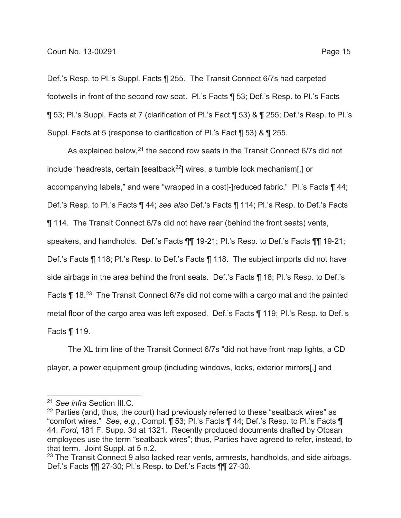Def.'s Resp. to Pl.'s Suppl. Facts ¶ 255. The Transit Connect 6/7s had carpeted footwells in front of the second row seat. Pl.'s Facts ¶ 53; Def.'s Resp. to Pl.'s Facts ¶ 53; Pl.'s Suppl. Facts at 7 (clarification of Pl.'s Fact ¶ 53) & ¶ 255; Def.'s Resp. to Pl.'s Suppl. Facts at 5 (response to clarification of Pl.'s Fact ¶ 53) & ¶ 255.

As explained below,<sup>21</sup> the second row seats in the Transit Connect 6/7s did not include "headrests, certain [seatback<sup>22</sup>] wires, a tumble lock mechanism[,] or accompanying labels," and were "wrapped in a cost[-]reduced fabric." Pl.'s Facts ¶ 44; Def.'s Resp. to Pl.'s Facts ¶ 44; *see also* Def.'s Facts ¶ 114; Pl.'s Resp. to Def.'s Facts ¶ 114. The Transit Connect 6/7s did not have rear (behind the front seats) vents, speakers, and handholds. Def.'s Facts ¶¶ 19-21; Pl.'s Resp. to Def.'s Facts ¶¶ 19-21; Def.'s Facts ¶ 118; Pl.'s Resp. to Def.'s Facts ¶ 118. The subject imports did not have side airbags in the area behind the front seats. Def.'s Facts ¶ 18; Pl.'s Resp. to Def.'s Facts ¶ 18.<sup>23</sup> The Transit Connect 6/7s did not come with a cargo mat and the painted metal floor of the cargo area was left exposed. Def.'s Facts ¶ 119; Pl.'s Resp. to Def.'s Facts ¶ 119.

The XL trim line of the Transit Connect 6/7s "did not have front map lights, a CD player, a power equipment group (including windows, locks, exterior mirrors[,] and

<sup>21</sup> *See infra* Section III.C.

 $22$  Parties (and, thus, the court) had previously referred to these "seatback wires" as "comfort wires." *See, e.g.*, Compl. ¶ 53; Pl.'s Facts ¶ 44; Def.'s Resp. to Pl.'s Facts ¶ 44; *Ford*, 181 F. Supp. 3d at 1321. Recently produced documents drafted by Otosan employees use the term "seatback wires"; thus, Parties have agreed to refer, instead, to that term. Joint Suppl. at 5 n.2.

<sup>&</sup>lt;sup>23</sup> The Transit Connect 9 also lacked rear vents, armrests, handholds, and side airbags. Def.'s Facts ¶¶ 27-30; Pl.'s Resp. to Def.'s Facts ¶¶ 27-30.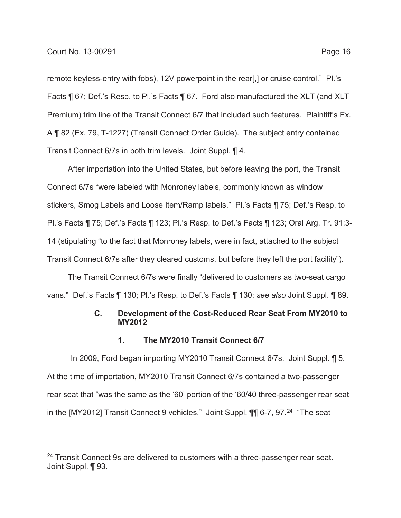remote keyless-entry with fobs), 12V powerpoint in the rear[,] or cruise control." Pl.'s Facts ¶ 67; Def.'s Resp. to Pl.'s Facts ¶ 67. Ford also manufactured the XLT (and XLT Premium) trim line of the Transit Connect 6/7 that included such features. Plaintiff's Ex. A ¶ 82 (Ex. 79, T-1227) (Transit Connect Order Guide). The subject entry contained Transit Connect 6/7s in both trim levels. Joint Suppl. ¶ 4.

After importation into the United States, but before leaving the port, the Transit Connect 6/7s "were labeled with Monroney labels, commonly known as window stickers, Smog Labels and Loose Item/Ramp labels." Pl.'s Facts ¶ 75; Def.'s Resp. to Pl.'s Facts ¶ 75; Def.'s Facts ¶ 123; Pl.'s Resp. to Def.'s Facts ¶ 123; Oral Arg. Tr. 91:3- 14 (stipulating "to the fact that Monroney labels, were in fact, attached to the subject Transit Connect 6/7s after they cleared customs, but before they left the port facility").

The Transit Connect 6/7s were finally "delivered to customers as two-seat cargo vans." Def.'s Facts ¶ 130; Pl.'s Resp. to Def.'s Facts ¶ 130; *see also* Joint Suppl. ¶ 89.

## **C. Development of the Cost-Reduced Rear Seat From MY2010 to MY2012**

#### **1. The MY2010 Transit Connect 6/7**

In 2009, Ford began importing MY2010 Transit Connect 6/7s. Joint Suppl. ¶ 5. At the time of importation, MY2010 Transit Connect 6/7s contained a two-passenger rear seat that "was the same as the '60' portion of the '60/40 three-passenger rear seat in the [MY2012] Transit Connect 9 vehicles." Joint Suppl. 11 6-7, 97.<sup>24</sup> "The seat

<sup>&</sup>lt;sup>24</sup> Transit Connect 9s are delivered to customers with a three-passenger rear seat. Joint Suppl. **[**93.]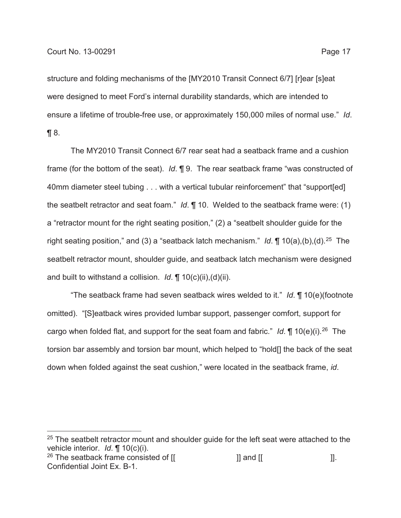structure and folding mechanisms of the [MY2010 Transit Connect 6/7] [r]ear [s]eat were designed to meet Ford's internal durability standards, which are intended to ensure a lifetime of trouble-free use, or approximately 150,000 miles of normal use." *Id*.  $\P 8$ .

The MY2010 Transit Connect 6/7 rear seat had a seatback frame and a cushion frame (for the bottom of the seat). *Id*. ¶ 9. The rear seatback frame "was constructed of 40mm diameter steel tubing . . . with a vertical tubular reinforcement" that "support[ed] the seatbelt retractor and seat foam." *Id*. ¶ 10. Welded to the seatback frame were: (1) a "retractor mount for the right seating position," (2) a "seatbelt shoulder guide for the right seating position," and (3) a "seatback latch mechanism." *Id*. ¶ 10(a),(b),(d).25 The seatbelt retractor mount, shoulder guide, and seatback latch mechanism were designed and built to withstand a collision. *Id*. ¶ 10(c)(ii),(d)(ii).

"The seatback frame had seven seatback wires welded to it." *Id*. ¶ 10(e)(footnote omitted). "[S]eatback wires provided lumbar support, passenger comfort, support for cargo when folded flat, and support for the seat foam and fabric." *Id*. ¶ 10(e)(i).26 The torsion bar assembly and torsion bar mount, which helped to "hold[] the back of the seat down when folded against the seat cushion," were located in the seatback frame, *id*.

 $25$  The seatbelt retractor mount and shoulder guide for the left seat were attached to the vehicle interior. *Id*. ¶ 10(c)(i).

<sup>26</sup> The seatback frame consisted of  $\begin{bmatrix} 1 \\ 2 \end{bmatrix}$  and  $\begin{bmatrix} 1 \\ 2 \end{bmatrix}$ . Confidential Joint Ex. B-1.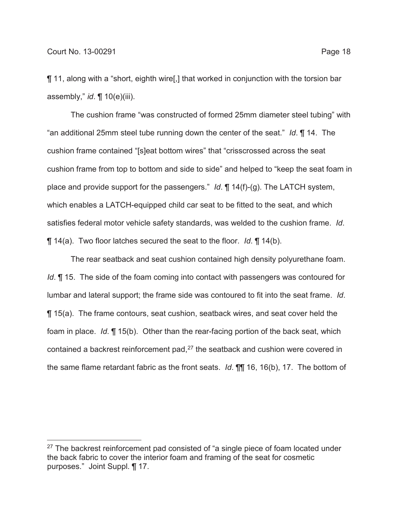¶ 11, along with a "short, eighth wire[,] that worked in conjunction with the torsion bar assembly," *id*. ¶ 10(e)(iii).

The cushion frame "was constructed of formed 25mm diameter steel tubing" with "an additional 25mm steel tube running down the center of the seat." *Id*. ¶ 14. The cushion frame contained "[s]eat bottom wires" that "crisscrossed across the seat cushion frame from top to bottom and side to side" and helped to "keep the seat foam in place and provide support for the passengers." *Id*. ¶ 14(f)-(g). The LATCH system, which enables a LATCH-equipped child car seat to be fitted to the seat, and which satisfies federal motor vehicle safety standards, was welded to the cushion frame. *Id*. ¶ 14(a). Two floor latches secured the seat to the floor. *Id*. ¶ 14(b).

The rear seatback and seat cushion contained high density polyurethane foam. *Id*. **[15.** The side of the foam coming into contact with passengers was contoured for lumbar and lateral support; the frame side was contoured to fit into the seat frame. *Id*. ¶ 15(a). The frame contours, seat cushion, seatback wires, and seat cover held the foam in place. *Id*. ¶ 15(b). Other than the rear-facing portion of the back seat, which contained a backrest reinforcement pad,<sup>27</sup> the seatback and cushion were covered in the same flame retardant fabric as the front seats. *Id*. ¶¶ 16, 16(b), 17. The bottom of

 $27$  The backrest reinforcement pad consisted of "a single piece of foam located under the back fabric to cover the interior foam and framing of the seat for cosmetic purposes." Joint Suppl. ¶ 17.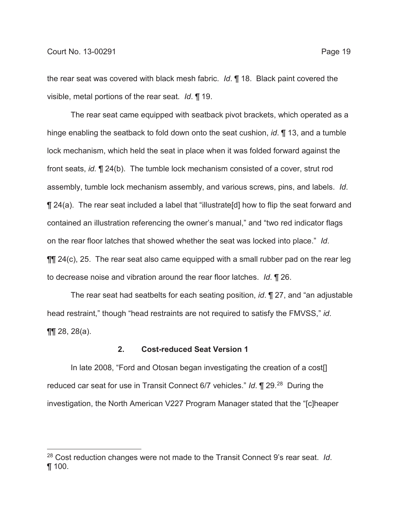the rear seat was covered with black mesh fabric. *Id*. ¶ 18. Black paint covered the visible, metal portions of the rear seat. *Id*. ¶ 19.

The rear seat came equipped with seatback pivot brackets, which operated as a hinge enabling the seatback to fold down onto the seat cushion, *id*. ¶ 13, and a tumble lock mechanism, which held the seat in place when it was folded forward against the front seats, *id.* ¶ 24(b). The tumble lock mechanism consisted of a cover, strut rod assembly, tumble lock mechanism assembly, and various screws, pins, and labels. *Id*. ¶ 24(a). The rear seat included a label that "illustrate[d] how to flip the seat forward and contained an illustration referencing the owner's manual," and "two red indicator flags on the rear floor latches that showed whether the seat was locked into place." *Id*.  $\P$  [ 24(c), 25. The rear seat also came equipped with a small rubber pad on the rear leg to decrease noise and vibration around the rear floor latches. *Id*. ¶ 26.

The rear seat had seatbelts for each seating position, *id*. ¶ 27, and "an adjustable head restraint," though "head restraints are not required to satisfy the FMVSS," *id*. ¶¶ 28, 28(a).

## **2. Cost-reduced Seat Version 1**

In late 2008, "Ford and Otosan began investigating the creation of a cost[] reduced car seat for use in Transit Connect 6/7 vehicles." *Id*. ¶ 29.28 During the investigation, the North American V227 Program Manager stated that the "[c]heaper

<sup>28</sup> Cost reduction changes were not made to the Transit Connect 9's rear seat. *Id*. ¶ 100.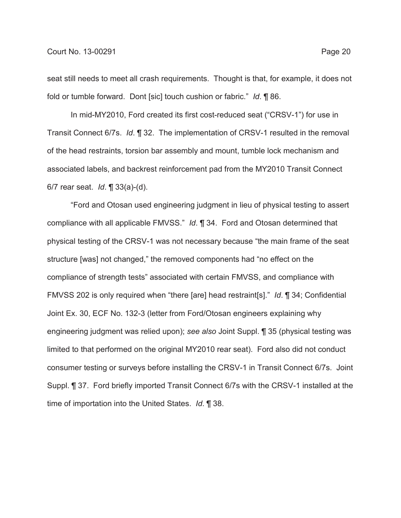seat still needs to meet all crash requirements. Thought is that, for example, it does not fold or tumble forward. Dont [sic] touch cushion or fabric." *Id*. ¶ 86.

In mid-MY2010, Ford created its first cost-reduced seat ("CRSV-1") for use in Transit Connect 6/7s. *Id*. ¶ 32. The implementation of CRSV-1 resulted in the removal of the head restraints, torsion bar assembly and mount, tumble lock mechanism and associated labels, and backrest reinforcement pad from the MY2010 Transit Connect 6/7 rear seat. *Id*. ¶ 33(a)-(d).

"Ford and Otosan used engineering judgment in lieu of physical testing to assert compliance with all applicable FMVSS." *Id*. ¶ 34. Ford and Otosan determined that physical testing of the CRSV-1 was not necessary because "the main frame of the seat structure [was] not changed," the removed components had "no effect on the compliance of strength tests" associated with certain FMVSS, and compliance with FMVSS 202 is only required when "there [are] head restraint[s]." *Id*. ¶ 34; Confidential Joint Ex. 30, ECF No. 132-3 (letter from Ford/Otosan engineers explaining why engineering judgment was relied upon); *see also* Joint Suppl. ¶ 35 (physical testing was limited to that performed on the original MY2010 rear seat). Ford also did not conduct consumer testing or surveys before installing the CRSV-1 in Transit Connect 6/7s. Joint Suppl. ¶ 37. Ford briefly imported Transit Connect 6/7s with the CRSV-1 installed at the time of importation into the United States. *Id*. ¶ 38.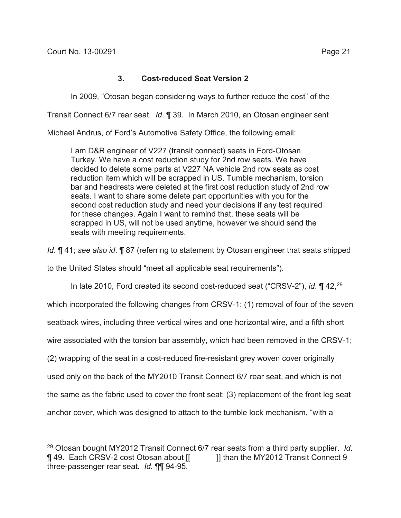# **3. Cost-reduced Seat Version 2**

In 2009, "Otosan began considering ways to further reduce the cost" of the

Transit Connect 6/7 rear seat. *Id*. ¶ 39. In March 2010, an Otosan engineer sent

Michael Andrus, of Ford's Automotive Safety Office, the following email:

I am D&R engineer of V227 (transit connect) seats in Ford-Otosan Turkey. We have a cost reduction study for 2nd row seats. We have decided to delete some parts at V227 NA vehicle 2nd row seats as cost reduction item which will be scrapped in US. Tumble mechanism, torsion bar and headrests were deleted at the first cost reduction study of 2nd row seats. I want to share some delete part opportunities with you for the second cost reduction study and need your decisions if any test required for these changes. Again I want to remind that, these seats will be scrapped in US, will not be used anytime, however we should send the seats with meeting requirements.

*Id*. ¶ 41; *see also id*. ¶ 87 (referring to statement by Otosan engineer that seats shipped

to the United States should "meet all applicable seat requirements").

In late 2010, Ford created its second cost-reduced seat ("CRSV-2"), *id*. ¶ 42,29

which incorporated the following changes from CRSV-1: (1) removal of four of the seven

seatback wires, including three vertical wires and one horizontal wire, and a fifth short

wire associated with the torsion bar assembly, which had been removed in the CRSV-1;

(2) wrapping of the seat in a cost-reduced fire-resistant grey woven cover originally

used only on the back of the MY2010 Transit Connect 6/7 rear seat, and which is not

the same as the fabric used to cover the front seat; (3) replacement of the front leg seat

anchor cover, which was designed to attach to the tumble lock mechanism, "with a

<sup>29</sup> Otosan bought MY2012 Transit Connect 6/7 rear seats from a third party supplier. *Id*. ¶ 49. Each CRSV-2 cost Otosan about [[ ]] than the MY2012 Transit Connect 9 three-passenger rear seat. *Id.* ¶¶ 94-95.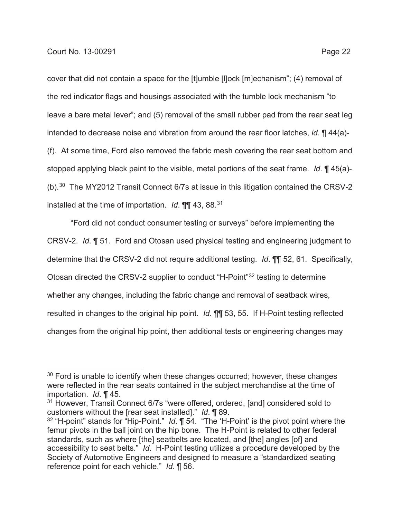cover that did not contain a space for the [t]umble [l]ock [m]echanism"; (4) removal of the red indicator flags and housings associated with the tumble lock mechanism "to leave a bare metal lever"; and (5) removal of the small rubber pad from the rear seat leg intended to decrease noise and vibration from around the rear floor latches, *id*. ¶ 44(a)- (f). At some time, Ford also removed the fabric mesh covering the rear seat bottom and stopped applying black paint to the visible, metal portions of the seat frame. *Id*. ¶ 45(a)- (b).30 The MY2012 Transit Connect 6/7s at issue in this litigation contained the CRSV-2 installed at the time of importation. *Id*. ¶¶ 43, 88.31

"Ford did not conduct consumer testing or surveys" before implementing the CRSV-2. *Id*. ¶ 51. Ford and Otosan used physical testing and engineering judgment to determine that the CRSV-2 did not require additional testing. *Id*. ¶¶ 52, 61. Specifically, Otosan directed the CRSV-2 supplier to conduct "H-Point"32 testing to determine whether any changes, including the fabric change and removal of seatback wires, resulted in changes to the original hip point. *Id*. ¶¶ 53, 55. If H-Point testing reflected changes from the original hip point, then additional tests or engineering changes may

 $30$  Ford is unable to identify when these changes occurred; however, these changes were reflected in the rear seats contained in the subject merchandise at the time of importation. *Id*. ¶ 45.

<sup>&</sup>lt;sup>31</sup> However, Transit Connect 6/7s "were offered, ordered, [and] considered sold to customers without the [rear seat installed]." *Id*. ¶ 89.

<sup>&</sup>lt;sup>32</sup> "H-point" stands for "Hip-Point." *Id*. **[1** 54. "The 'H-Point' is the pivot point where the femur pivots in the ball joint on the hip bone. The H-Point is related to other federal standards, such as where [the] seatbelts are located, and [the] angles [of] and accessibility to seat belts." *Id*. H-Point testing utilizes a procedure developed by the Society of Automotive Engineers and designed to measure a "standardized seating reference point for each vehicle." *Id*. ¶ 56.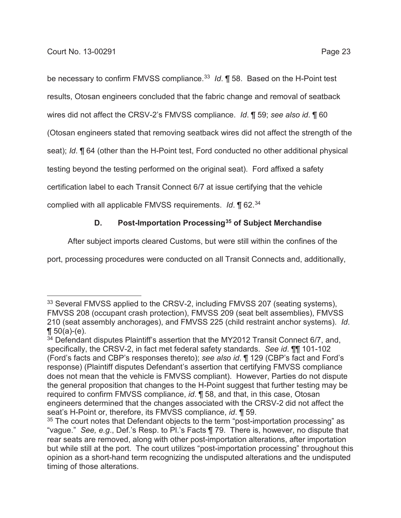be necessary to confirm FMVSS compliance.<sup>33</sup> *Id*. **[**] 58. Based on the H-Point test results, Otosan engineers concluded that the fabric change and removal of seatback wires did not affect the CRSV-2's FMVSS compliance. *Id*. ¶ 59; *see also id*. ¶ 60 (Otosan engineers stated that removing seatback wires did not affect the strength of the seat); *Id*. ¶ 64 (other than the H-Point test, Ford conducted no other additional physical testing beyond the testing performed on the original seat). Ford affixed a safety certification label to each Transit Connect 6/7 at issue certifying that the vehicle

complied with all applicable FMVSS requirements. *Id*. ¶ 62.34

# **D. Post-Importation Processing35 of Subject Merchandise**

After subject imports cleared Customs, but were still within the confines of the

port, processing procedures were conducted on all Transit Connects and, additionally,

<sup>33</sup> Several FMVSS applied to the CRSV-2, including FMVSS 207 (seating systems), FMVSS 208 (occupant crash protection), FMVSS 209 (seat belt assemblies), FMVSS 210 (seat assembly anchorages), and FMVSS 225 (child restraint anchor systems). *Id*.  $\P 50(a)-(e)$ .

<sup>34</sup> Defendant disputes Plaintiff's assertion that the MY2012 Transit Connect 6/7, and, specifically, the CRSV-2, in fact met federal safety standards. *See id*. ¶¶ 101-102 (Ford's facts and CBP's responses thereto); *see also id*. ¶ 129 (CBP's fact and Ford's response) (Plaintiff disputes Defendant's assertion that certifying FMVSS compliance does not mean that the vehicle is FMVSS compliant). However, Parties do not dispute the general proposition that changes to the H-Point suggest that further testing may be required to confirm FMVSS compliance, *id*. ¶ 58, and that, in this case, Otosan engineers determined that the changes associated with the CRSV-2 did not affect the seat's H-Point or, therefore, its FMVSS compliance, *id*. ¶ 59.

 $35$  The court notes that Defendant objects to the term "post-importation processing" as "vague." *See, e.g*., Def.'s Resp. to Pl.'s Facts ¶ 79. There is, however, no dispute that rear seats are removed, along with other post-importation alterations, after importation but while still at the port. The court utilizes "post-importation processing" throughout this opinion as a short-hand term recognizing the undisputed alterations and the undisputed timing of those alterations.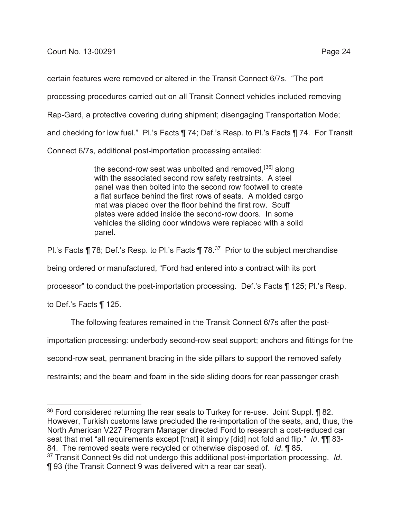certain features were removed or altered in the Transit Connect 6/7s. "The port processing procedures carried out on all Transit Connect vehicles included removing Rap-Gard, a protective covering during shipment; disengaging Transportation Mode; and checking for low fuel." Pl.'s Facts ¶ 74; Def.'s Resp. to Pl.'s Facts ¶ 74. For Transit Connect 6/7s, additional post-importation processing entailed:

> the second-row seat was unbolted and removed,  $[36]$  along with the associated second row safety restraints. A steel panel was then bolted into the second row footwell to create a flat surface behind the first rows of seats. A molded cargo mat was placed over the floor behind the first row. Scuff plates were added inside the second-row doors. In some vehicles the sliding door windows were replaced with a solid panel.

Pl.'s Facts ¶ 78; Def.'s Resp. to Pl.'s Facts ¶ 78.<sup>37</sup> Prior to the subject merchandise

being ordered or manufactured, "Ford had entered into a contract with its port

processor" to conduct the post-importation processing. Def.'s Facts ¶ 125; Pl.'s Resp.

to Def.'s Facts ¶ 125.

The following features remained in the Transit Connect 6/7s after the post-

importation processing: underbody second-row seat support; anchors and fittings for the

second-row seat, permanent bracing in the side pillars to support the removed safety

restraints; and the beam and foam in the side sliding doors for rear passenger crash

 $36$  Ford considered returning the rear seats to Turkey for re-use. Joint Suppl.  $\P$  82. However, Turkish customs laws precluded the re-importation of the seats, and, thus, the North American V227 Program Manager directed Ford to research a cost-reduced car seat that met "all requirements except [that] it simply [did] not fold and flip." *Id*. ¶¶ 83- 84. The removed seats were recycled or otherwise disposed of. *Id*. ¶ 85.

<sup>37</sup> Transit Connect 9s did not undergo this additional post-importation processing. *Id*. ¶ 93 (the Transit Connect 9 was delivered with a rear car seat).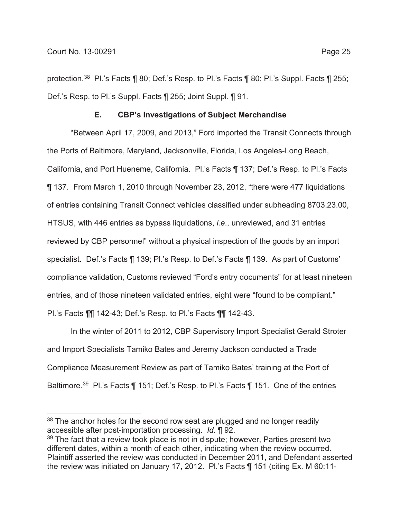# **E. CBP's Investigations of Subject Merchandise**

"Between April 17, 2009, and 2013," Ford imported the Transit Connects through the Ports of Baltimore, Maryland, Jacksonville, Florida, Los Angeles-Long Beach, California, and Port Hueneme, California. Pl.'s Facts ¶ 137; Def.'s Resp. to Pl.'s Facts ¶ 137. From March 1, 2010 through November 23, 2012, "there were 477 liquidations of entries containing Transit Connect vehicles classified under subheading 8703.23.00, HTSUS, with 446 entries as bypass liquidations, *i.e*., unreviewed, and 31 entries reviewed by CBP personnel" without a physical inspection of the goods by an import specialist. Def.'s Facts ¶ 139; Pl.'s Resp. to Def.'s Facts ¶ 139. As part of Customs' compliance validation, Customs reviewed "Ford's entry documents" for at least nineteen entries, and of those nineteen validated entries, eight were "found to be compliant." Pl.'s Facts ¶¶ 142-43; Def.'s Resp. to Pl.'s Facts ¶¶ 142-43.

In the winter of 2011 to 2012, CBP Supervisory Import Specialist Gerald Stroter and Import Specialists Tamiko Bates and Jeremy Jackson conducted a Trade Compliance Measurement Review as part of Tamiko Bates' training at the Port of Baltimore.39 Pl.'s Facts ¶ 151; Def.'s Resp. to Pl.'s Facts ¶ 151. One of the entries

<sup>&</sup>lt;sup>38</sup> The anchor holes for the second row seat are plugged and no longer readily accessible after post-importation processing. *Id*. ¶ 92.

 $39$  The fact that a review took place is not in dispute; however, Parties present two different dates, within a month of each other, indicating when the review occurred. Plaintiff asserted the review was conducted in December 2011, and Defendant asserted the review was initiated on January 17, 2012. Pl.'s Facts ¶ 151 (citing Ex. M 60:11-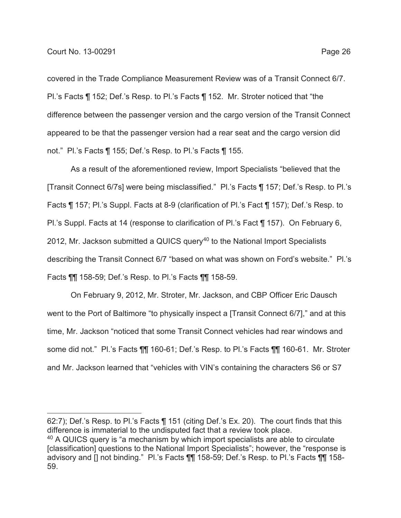covered in the Trade Compliance Measurement Review was of a Transit Connect 6/7. Pl.'s Facts ¶ 152; Def.'s Resp. to Pl.'s Facts ¶ 152. Mr. Stroter noticed that "the difference between the passenger version and the cargo version of the Transit Connect appeared to be that the passenger version had a rear seat and the cargo version did not." Pl.'s Facts ¶ 155; Def.'s Resp. to Pl.'s Facts ¶ 155.

As a result of the aforementioned review, Import Specialists "believed that the [Transit Connect 6/7s] were being misclassified." Pl.'s Facts ¶ 157; Def.'s Resp. to Pl.'s Facts ¶ 157; Pl.'s Suppl. Facts at 8-9 (clarification of Pl.'s Fact ¶ 157); Def.'s Resp. to Pl.'s Suppl. Facts at 14 (response to clarification of Pl.'s Fact ¶ 157). On February 6, 2012, Mr. Jackson submitted a QUICS query<sup>40</sup> to the National Import Specialists describing the Transit Connect 6/7 "based on what was shown on Ford's website." Pl.'s Facts ¶¶ 158-59; Def.'s Resp. to Pl.'s Facts ¶¶ 158-59.

On February 9, 2012, Mr. Stroter, Mr. Jackson, and CBP Officer Eric Dausch went to the Port of Baltimore "to physically inspect a [Transit Connect 6/7]," and at this time, Mr. Jackson "noticed that some Transit Connect vehicles had rear windows and some did not." Pl.'s Facts ¶¶ 160-61; Def.'s Resp. to Pl.'s Facts ¶¶ 160-61. Mr. Stroter and Mr. Jackson learned that "vehicles with VIN's containing the characters S6 or S7

62:7); Def.'s Resp. to Pl.'s Facts ¶ 151 (citing Def.'s Ex. 20). The court finds that this difference is immaterial to the undisputed fact that a review took place. <sup>40</sup> A QUICS query is "a mechanism by which import specialists are able to circulate [classification] questions to the National Import Specialists"; however, the "response is advisory and [] not binding." Pl.'s Facts ¶¶ 158-59; Def.'s Resp. to Pl.'s Facts ¶¶ 158- 59.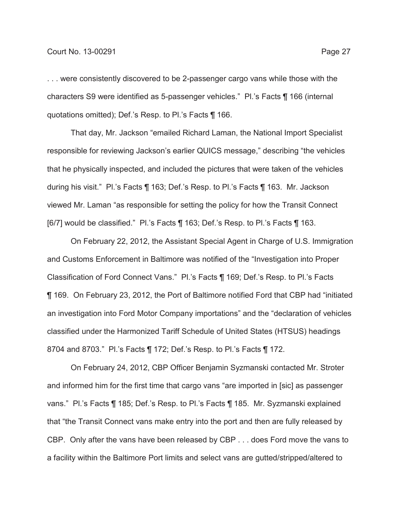. . . were consistently discovered to be 2-passenger cargo vans while those with the characters S9 were identified as 5-passenger vehicles." Pl.'s Facts ¶ 166 (internal quotations omitted); Def.'s Resp. to Pl.'s Facts ¶ 166.

That day, Mr. Jackson "emailed Richard Laman, the National Import Specialist responsible for reviewing Jackson's earlier QUICS message," describing "the vehicles that he physically inspected, and included the pictures that were taken of the vehicles during his visit." Pl.'s Facts ¶ 163; Def.'s Resp. to Pl.'s Facts ¶ 163. Mr. Jackson viewed Mr. Laman "as responsible for setting the policy for how the Transit Connect [6/7] would be classified." Pl.'s Facts ¶ 163; Def.'s Resp. to Pl.'s Facts ¶ 163.

On February 22, 2012, the Assistant Special Agent in Charge of U.S. Immigration and Customs Enforcement in Baltimore was notified of the "Investigation into Proper Classification of Ford Connect Vans." Pl.'s Facts ¶ 169; Def.'s Resp. to Pl.'s Facts ¶ 169. On February 23, 2012, the Port of Baltimore notified Ford that CBP had "initiated an investigation into Ford Motor Company importations" and the "declaration of vehicles classified under the Harmonized Tariff Schedule of United States (HTSUS) headings 8704 and 8703." Pl.'s Facts ¶ 172; Def.'s Resp. to Pl.'s Facts ¶ 172.

On February 24, 2012, CBP Officer Benjamin Syzmanski contacted Mr. Stroter and informed him for the first time that cargo vans "are imported in [sic] as passenger vans." Pl.'s Facts ¶ 185; Def.'s Resp. to Pl.'s Facts ¶ 185. Mr. Syzmanski explained that "the Transit Connect vans make entry into the port and then are fully released by CBP. Only after the vans have been released by CBP . . . does Ford move the vans to a facility within the Baltimore Port limits and select vans are gutted/stripped/altered to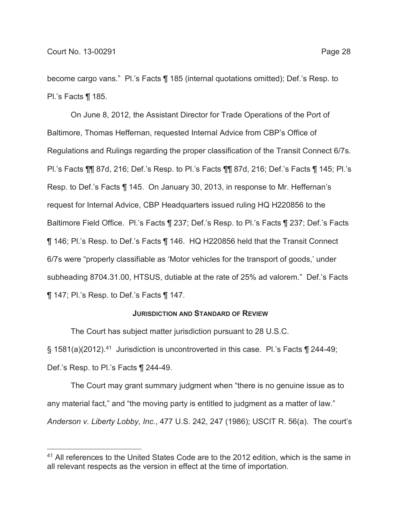become cargo vans." Pl.'s Facts ¶ 185 (internal quotations omitted); Def.'s Resp. to Pl.'s Facts ¶ 185.

On June 8, 2012, the Assistant Director for Trade Operations of the Port of Baltimore, Thomas Heffernan, requested Internal Advice from CBP's Office of Regulations and Rulings regarding the proper classification of the Transit Connect 6/7s. Pl.'s Facts ¶¶ 87d, 216; Def.'s Resp. to Pl.'s Facts ¶¶ 87d, 216; Def.'s Facts ¶ 145; Pl.'s Resp. to Def.'s Facts ¶ 145. On January 30, 2013, in response to Mr. Heffernan's request for Internal Advice, CBP Headquarters issued ruling HQ H220856 to the Baltimore Field Office. Pl.'s Facts ¶ 237; Def.'s Resp. to Pl.'s Facts ¶ 237; Def.'s Facts ¶ 146; Pl.'s Resp. to Def.'s Facts ¶ 146. HQ H220856 held that the Transit Connect 6/7s were "properly classifiable as 'Motor vehicles for the transport of goods,' under subheading 8704.31.00, HTSUS, dutiable at the rate of 25% ad valorem." Def.'s Facts ¶ 147; Pl.'s Resp. to Def.'s Facts ¶ 147.

### **JURISDICTION AND STANDARD OF REVIEW**

The Court has subject matter jurisdiction pursuant to 28 U.S.C.

 $\S$  1581(a)(2012).<sup>41</sup> Jurisdiction is uncontroverted in this case. Pl.'s Facts  $\P$  244-49; Def.'s Resp. to Pl.'s Facts ¶ 244-49.

The Court may grant summary judgment when "there is no genuine issue as to any material fact," and "the moving party is entitled to judgment as a matter of law." *Anderson v. Liberty Lobby, Inc.*, 477 U.S. 242, 247 (1986); USCIT R. 56(a). The court's

<sup>&</sup>lt;sup>41</sup> All references to the United States Code are to the 2012 edition, which is the same in all relevant respects as the version in effect at the time of importation.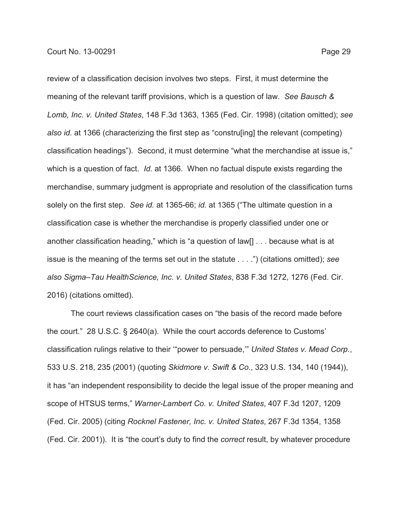review of a classification decision involves two steps. First, it must determine the

meaning of the relevant tariff provisions, which is a question of law. *See Bausch & Lomb, Inc. v. United States*, 148 F.3d 1363, 1365 (Fed. Cir. 1998) (citation omitted); *see also id.* at 1366 (characterizing the first step as "constru[ing] the relevant (competing) classification headings"). Second, it must determine "what the merchandise at issue is," which is a question of fact. *Id.* at 1366. When no factual dispute exists regarding the merchandise, summary judgment is appropriate and resolution of the classification turns solely on the first step. *See id.* at 1365-66; *id.* at 1365 ("The ultimate question in a classification case is whether the merchandise is properly classified under one or another classification heading," which is "a question of law[] . . . because what is at issue is the meaning of the terms set out in the statute . . . .") (citations omitted); *see also Sigma–Tau HealthScience, Inc. v. United States*, 838 F.3d 1272, 1276 (Fed. Cir. 2016) (citations omitted).

The court reviews classification cases on "the basis of the record made before the court." 28 U.S.C. § 2640(a). While the court accords deference to Customs' classification rulings relative to their '"power to persuade,'" *United States v. Mead Corp.*, 533 U.S. 218, 235 (2001) (quoting *Skidmore v. Swift & Co.*, 323 U.S. 134, 140 (1944)), it has "an independent responsibility to decide the legal issue of the proper meaning and scope of HTSUS terms," *Warner-Lambert Co. v. United States*, 407 F.3d 1207, 1209 (Fed. Cir. 2005) (citing *Rocknel Fastener, Inc. v. United States*, 267 F.3d 1354, 1358 (Fed. Cir. 2001)). It is "the court's duty to find the *correct* result, by whatever procedure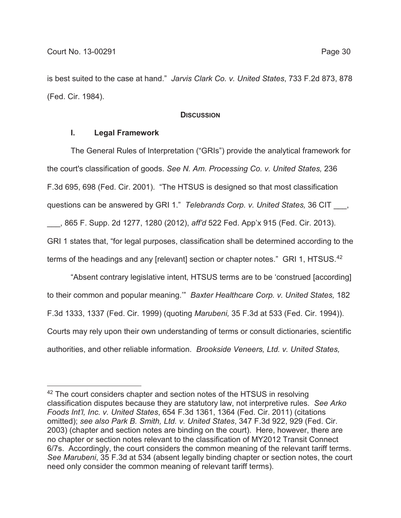is best suited to the case at hand." *Jarvis Clark Co. v. United States*, 733 F.2d 873, 878 (Fed. Cir. 1984).

### **DISCUSSION**

## **I. Legal Framework**

The General Rules of Interpretation ("GRIs") provide the analytical framework for the court's classification of goods. *See N. Am. Processing Co. v. United States,* 236 F.3d 695, 698 (Fed. Cir. 2001). "The HTSUS is designed so that most classification questions can be answered by GRI 1." *Telebrands Corp. v. United States,* 36 CIT \_\_\_,

\_\_\_, 865 F. Supp. 2d 1277, 1280 (2012), *aff'd* 522 Fed. App'x 915 (Fed. Cir. 2013). GRI 1 states that, "for legal purposes, classification shall be determined according to the terms of the headings and any [relevant] section or chapter notes." GRI 1, HTSUS.<sup>42</sup>

"Absent contrary legislative intent, HTSUS terms are to be 'construed [according] to their common and popular meaning.'" *Baxter Healthcare Corp. v. United States,* 182 F.3d 1333, 1337 (Fed. Cir. 1999) (quoting *Marubeni,* 35 F.3d at 533 (Fed. Cir. 1994)). Courts may rely upon their own understanding of terms or consult dictionaries, scientific authorities, and other reliable information. *Brookside Veneers, Ltd. v. United States,*

<sup>&</sup>lt;sup>42</sup> The court considers chapter and section notes of the HTSUS in resolving classification disputes because they are statutory law, not interpretive rules. *See Arko Foods Int'l, Inc. v. United States*, 654 F.3d 1361, 1364 (Fed. Cir. 2011) (citations omitted); *see also Park B. Smith, Ltd. v. United States*, 347 F.3d 922, 929 (Fed. Cir. 2003) (chapter and section notes are binding on the court). Here, however, there are no chapter or section notes relevant to the classification of MY2012 Transit Connect 6/7s. Accordingly, the court considers the common meaning of the relevant tariff terms. *See Marubeni*, 35 F.3d at 534 (absent legally binding chapter or section notes, the court need only consider the common meaning of relevant tariff terms).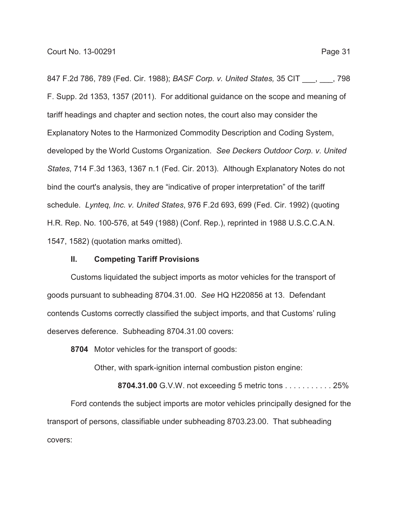847 F.2d 786, 789 (Fed. Cir. 1988); *BASF Corp. v. United States,* 35 CIT \_\_\_, \_\_\_, 798 F. Supp. 2d 1353, 1357 (2011). For additional guidance on the scope and meaning of tariff headings and chapter and section notes, the court also may consider the Explanatory Notes to the Harmonized Commodity Description and Coding System, developed by the World Customs Organization. *See Deckers Outdoor Corp. v. United States*, 714 F.3d 1363, 1367 n.1 (Fed. Cir. 2013). Although Explanatory Notes do not bind the court's analysis, they are "indicative of proper interpretation" of the tariff schedule. *Lynteq, Inc. v. United States*, 976 F.2d 693, 699 (Fed. Cir. 1992) (quoting H.R. Rep. No. 100-576, at 549 (1988) (Conf. Rep.), reprinted in 1988 U.S.C.C.A.N. 1547, 1582) (quotation marks omitted).

### **II. Competing Tariff Provisions**

Customs liquidated the subject imports as motor vehicles for the transport of goods pursuant to subheading 8704.31.00. *See* HQ H220856 at 13. Defendant contends Customs correctly classified the subject imports, and that Customs' ruling deserves deference. Subheading 8704.31.00 covers:

**8704** Motor vehicles for the transport of goods:

Other, with spark-ignition internal combustion piston engine:

**8704.31.00** G.V.W. not exceeding 5 metric tons . . . . . . . . . . . 25% Ford contends the subject imports are motor vehicles principally designed for the transport of persons, classifiable under subheading 8703.23.00. That subheading covers: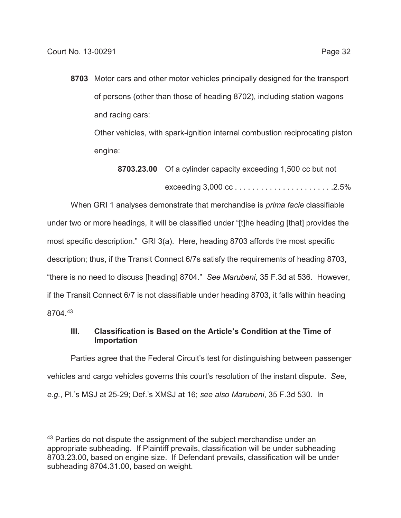**8703** Motor cars and other motor vehicles principally designed for the transport of persons (other than those of heading 8702), including station wagons and racing cars:

Other vehicles, with spark-ignition internal combustion reciprocating piston engine:

**8703.23.00** Of a cylinder capacity exceeding 1,500 cc but not exceeding 3,000 cc . . . . . . . . . . . . . . . . . . . . . . .2.5%

When GRI 1 analyses demonstrate that merchandise is *prima facie* classifiable under two or more headings, it will be classified under "[t]he heading [that] provides the most specific description." GRI 3(a). Here, heading 8703 affords the most specific description; thus, if the Transit Connect 6/7s satisfy the requirements of heading 8703, "there is no need to discuss [heading] 8704." *See Marubeni*, 35 F.3d at 536. However, if the Transit Connect 6/7 is not classifiable under heading 8703, it falls within heading 8704.43

# **III. Classification is Based on the Article's Condition at the Time of Importation**

Parties agree that the Federal Circuit's test for distinguishing between passenger vehicles and cargo vehicles governs this court's resolution of the instant dispute. *See, e.g.*, Pl.'s MSJ at 25-29; Def.'s XMSJ at 16; *see also Marubeni*, 35 F.3d 530. In

<sup>&</sup>lt;sup>43</sup> Parties do not dispute the assignment of the subject merchandise under an appropriate subheading. If Plaintiff prevails, classification will be under subheading 8703.23.00, based on engine size. If Defendant prevails, classification will be under subheading 8704.31.00, based on weight.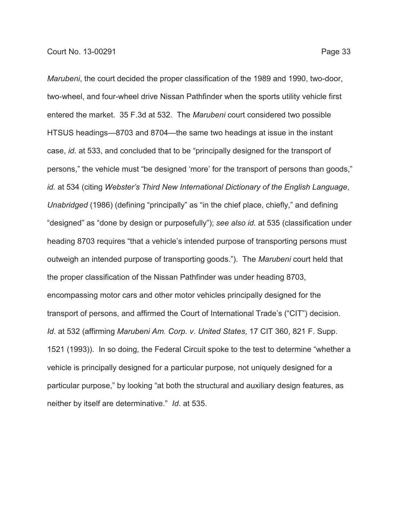*Marubeni*, the court decided the proper classification of the 1989 and 1990, two-door, two-wheel, and four-wheel drive Nissan Pathfinder when the sports utility vehicle first entered the market. 35 F.3d at 532. The *Marubeni* court considered two possible HTSUS headings—8703 and 8704—the same two headings at issue in the instant case, *id.* at 533, and concluded that to be "principally designed for the transport of persons," the vehicle must "be designed 'more' for the transport of persons than goods," *id.* at 534 (citing *Webster's Third New International Dictionary of the English Language*, *Unabridged* (1986) (defining "principally" as "in the chief place, chiefly," and defining "designed" as "done by design or purposefully"); *see also id.* at 535 (classification under heading 8703 requires "that a vehicle's intended purpose of transporting persons must outweigh an intended purpose of transporting goods."). The *Marubeni* court held that the proper classification of the Nissan Pathfinder was under heading 8703, encompassing motor cars and other motor vehicles principally designed for the transport of persons, and affirmed the Court of International Trade's ("CIT") decision. *Id*. at 532 (affirming *Marubeni Am. Corp. v. United States*, 17 CIT 360, 821 F. Supp. 1521 (1993)). In so doing, the Federal Circuit spoke to the test to determine "whether a vehicle is principally designed for a particular purpose, not uniquely designed for a particular purpose," by looking "at both the structural and auxiliary design features, as neither by itself are determinative." *Id*. at 535.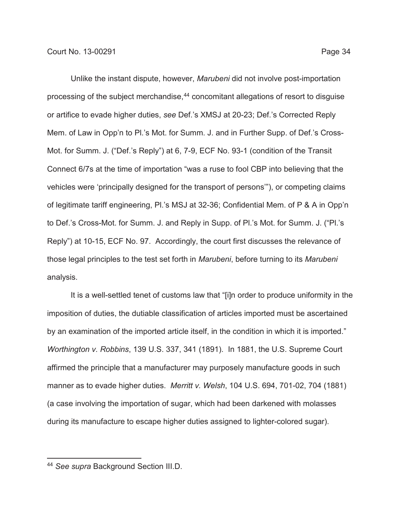Unlike the instant dispute, however, *Marubeni* did not involve post-importation processing of the subject merchandise,<sup>44</sup> concomitant allegations of resort to disguise or artifice to evade higher duties, *see* Def.'s XMSJ at 20-23; Def.'s Corrected Reply Mem. of Law in Opp'n to Pl.'s Mot. for Summ. J. and in Further Supp. of Def.'s Cross-Mot. for Summ. J. ("Def.'s Reply") at 6, 7-9, ECF No. 93-1 (condition of the Transit Connect 6/7s at the time of importation "was a ruse to fool CBP into believing that the vehicles were 'principally designed for the transport of persons'"), or competing claims of legitimate tariff engineering, Pl.'s MSJ at 32-36; Confidential Mem. of P & A in Opp'n to Def.'s Cross-Mot. for Summ. J. and Reply in Supp. of Pl.'s Mot. for Summ. J. ("Pl.'s Reply") at 10-15, ECF No. 97. Accordingly, the court first discusses the relevance of those legal principles to the test set forth in *Marubeni*, before turning to its *Marubeni* analysis.

It is a well-settled tenet of customs law that "[i]n order to produce uniformity in the imposition of duties, the dutiable classification of articles imported must be ascertained by an examination of the imported article itself, in the condition in which it is imported." *Worthington v. Robbins*, 139 U.S. 337, 341 (1891). In 1881, the U.S. Supreme Court affirmed the principle that a manufacturer may purposely manufacture goods in such manner as to evade higher duties. *Merritt v. Welsh*, 104 U.S. 694, 701-02, 704 (1881) (a case involving the importation of sugar, which had been darkened with molasses during its manufacture to escape higher duties assigned to lighter-colored sugar).

<sup>44</sup> *See supra* Background Section III.D.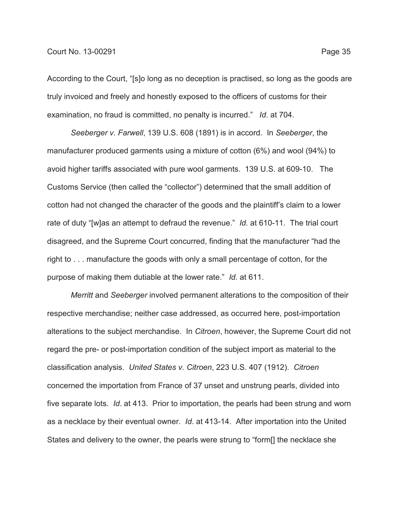According to the Court, "[s]o long as no deception is practised, so long as the goods are truly invoiced and freely and honestly exposed to the officers of customs for their examination, no fraud is committed, no penalty is incurred." *Id*. at 704.

*Seeberger v. Farwell*, 139 U.S. 608 (1891) is in accord. In *Seeberger*, the manufacturer produced garments using a mixture of cotton (6%) and wool (94%) to avoid higher tariffs associated with pure wool garments. 139 U.S. at 609-10. The Customs Service (then called the "collector") determined that the small addition of cotton had not changed the character of the goods and the plaintiff's claim to a lower rate of duty "[w]as an attempt to defraud the revenue." *Id.* at 610-11. The trial court disagreed, and the Supreme Court concurred, finding that the manufacturer "had the right to . . . manufacture the goods with only a small percentage of cotton, for the purpose of making them dutiable at the lower rate." *Id.* at 611.

*Merritt* and *Seeberger* involved permanent alterations to the composition of their respective merchandise; neither case addressed, as occurred here, post-importation alterations to the subject merchandise. In *Citroen*, however, the Supreme Court did not regard the pre- or post-importation condition of the subject import as material to the classification analysis. *United States v. Citroen*, 223 U.S. 407 (1912). *Citroen* concerned the importation from France of 37 unset and unstrung pearls, divided into five separate lots. *Id*. at 413. Prior to importation, the pearls had been strung and worn as a necklace by their eventual owner. *Id*. at 413-14. After importation into the United States and delivery to the owner, the pearls were strung to "form[] the necklace she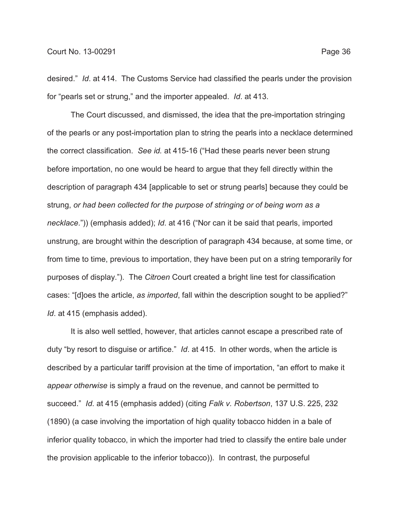desired." *Id*. at 414. The Customs Service had classified the pearls under the provision for "pearls set or strung," and the importer appealed. *Id*. at 413.

The Court discussed, and dismissed, the idea that the pre-importation stringing of the pearls or any post-importation plan to string the pearls into a necklace determined the correct classification. *See id.* at 415-16 ("Had these pearls never been strung before importation, no one would be heard to argue that they fell directly within the description of paragraph 434 [applicable to set or strung pearls] because they could be strung, *or had been collected for the purpose of stringing or of being worn as a necklace*.")) (emphasis added); *Id*. at 416 ("Nor can it be said that pearls, imported unstrung, are brought within the description of paragraph 434 because, at some time, or from time to time, previous to importation, they have been put on a string temporarily for purposes of display."). The *Citroen* Court created a bright line test for classification cases: "[d]oes the article, *as imported*, fall within the description sought to be applied?" *Id*. at 415 (emphasis added).

It is also well settled, however, that articles cannot escape a prescribed rate of duty "by resort to disguise or artifice." *Id*. at 415. In other words, when the article is described by a particular tariff provision at the time of importation, "an effort to make it *appear otherwise* is simply a fraud on the revenue, and cannot be permitted to succeed." *Id*. at 415 (emphasis added) (citing *Falk v. Robertson*, 137 U.S. 225, 232 (1890) (a case involving the importation of high quality tobacco hidden in a bale of inferior quality tobacco, in which the importer had tried to classify the entire bale under the provision applicable to the inferior tobacco)). In contrast, the purposeful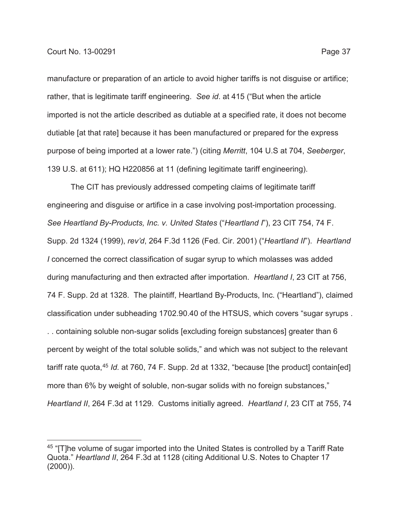manufacture or preparation of an article to avoid higher tariffs is not disguise or artifice; rather, that is legitimate tariff engineering. *See id*. at 415 ("But when the article imported is not the article described as dutiable at a specified rate, it does not become dutiable [at that rate] because it has been manufactured or prepared for the express purpose of being imported at a lower rate.") (citing *Merritt*, 104 U.S at 704, *Seeberger*, 139 U.S. at 611); HQ H220856 at 11 (defining legitimate tariff engineering).

The CIT has previously addressed competing claims of legitimate tariff engineering and disguise or artifice in a case involving post-importation processing. *See Heartland By-Products, Inc. v. United States* ("*Heartland I*"), 23 CIT 754, 74 F. Supp. 2d 1324 (1999), *rev'd*, 264 F.3d 1126 (Fed. Cir. 2001) ("*Heartland II*"). *Heartland I* concerned the correct classification of sugar syrup to which molasses was added during manufacturing and then extracted after importation. *Heartland I*, 23 CIT at 756, 74 F. Supp. 2d at 1328. The plaintiff, Heartland By-Products, Inc. ("Heartland"), claimed classification under subheading 1702.90.40 of the HTSUS, which covers "sugar syrups . . . containing soluble non-sugar solids [excluding foreign substances] greater than 6 percent by weight of the total soluble solids," and which was not subject to the relevant tariff rate quota,45 *Id.* at 760, 74 F. Supp. 2d at 1332, "because [the product] contain[ed] more than 6% by weight of soluble, non-sugar solids with no foreign substances," *Heartland II*, 264 F.3d at 1129. Customs initially agreed. *Heartland I*, 23 CIT at 755, 74

<sup>&</sup>lt;sup>45</sup> "[T]he volume of sugar imported into the United States is controlled by a Tariff Rate Quota." *Heartland II*, 264 F.3d at 1128 (citing Additional U.S. Notes to Chapter 17 (2000)).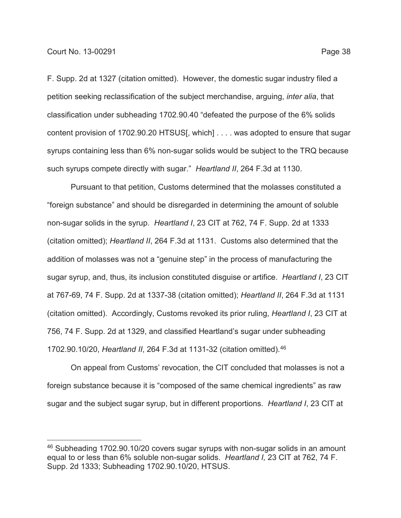F. Supp. 2d at 1327 (citation omitted). However, the domestic sugar industry filed a petition seeking reclassification of the subject merchandise, arguing, *inter alia*, that classification under subheading 1702.90.40 "defeated the purpose of the 6% solids content provision of 1702.90.20 HTSUS[, which] . . . . was adopted to ensure that sugar syrups containing less than 6% non-sugar solids would be subject to the TRQ because such syrups compete directly with sugar." *Heartland II*, 264 F.3d at 1130.

Pursuant to that petition, Customs determined that the molasses constituted a "foreign substance" and should be disregarded in determining the amount of soluble non-sugar solids in the syrup. *Heartland I*, 23 CIT at 762, 74 F. Supp. 2d at 1333 (citation omitted); *Heartland II*, 264 F.3d at 1131. Customs also determined that the addition of molasses was not a "genuine step" in the process of manufacturing the sugar syrup, and, thus, its inclusion constituted disguise or artifice. *Heartland I*, 23 CIT at 767-69, 74 F. Supp. 2d at 1337-38 (citation omitted); *Heartland II*, 264 F.3d at 1131 (citation omitted). Accordingly, Customs revoked its prior ruling, *Heartland I*, 23 CIT at 756, 74 F. Supp. 2d at 1329, and classified Heartland's sugar under subheading 1702.90.10/20, *Heartland II*, 264 F.3d at 1131-32 (citation omitted).46

On appeal from Customs' revocation, the CIT concluded that molasses is not a foreign substance because it is "composed of the same chemical ingredients" as raw sugar and the subject sugar syrup, but in different proportions. *Heartland I*, 23 CIT at

<sup>&</sup>lt;sup>46</sup> Subheading 1702.90.10/20 covers sugar syrups with non-sugar solids in an amount equal to or less than 6% soluble non-sugar solids. *Heartland I,* 23 CIT at 762, 74 F. Supp. 2d 1333; Subheading 1702.90.10/20, HTSUS.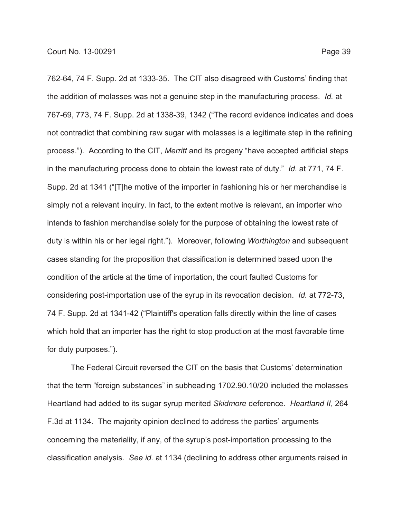762-64, 74 F. Supp. 2d at 1333-35. The CIT also disagreed with Customs' finding that the addition of molasses was not a genuine step in the manufacturing process. *Id.* at 767-69, 773, 74 F. Supp. 2d at 1338-39, 1342 ("The record evidence indicates and does not contradict that combining raw sugar with molasses is a legitimate step in the refining process."). According to the CIT, *Merritt* and its progeny "have accepted artificial steps in the manufacturing process done to obtain the lowest rate of duty." *Id.* at 771, 74 F. Supp. 2d at 1341 ("[T]he motive of the importer in fashioning his or her merchandise is simply not a relevant inquiry. In fact, to the extent motive is relevant, an importer who intends to fashion merchandise solely for the purpose of obtaining the lowest rate of duty is within his or her legal right."). Moreover, following *Worthington* and subsequent cases standing for the proposition that classification is determined based upon the condition of the article at the time of importation, the court faulted Customs for considering post-importation use of the syrup in its revocation decision. *Id.* at 772-73, 74 F. Supp. 2d at 1341-42 ("Plaintiff's operation falls directly within the line of cases which hold that an importer has the right to stop production at the most favorable time for duty purposes.").

The Federal Circuit reversed the CIT on the basis that Customs' determination that the term "foreign substances" in subheading 1702.90.10/20 included the molasses Heartland had added to its sugar syrup merited *Skidmore* deference. *Heartland II*, 264 F.3d at 1134. The majority opinion declined to address the parties' arguments concerning the materiality, if any, of the syrup's post-importation processing to the classification analysis. *See id.* at 1134 (declining to address other arguments raised in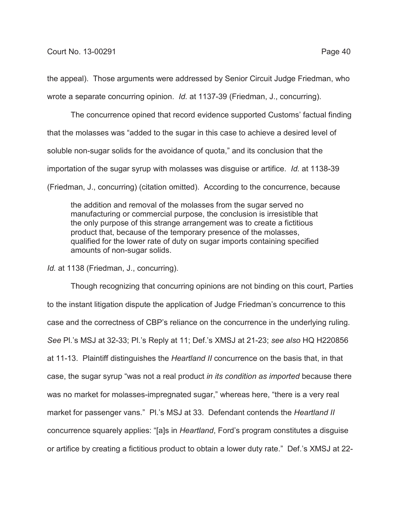the appeal). Those arguments were addressed by Senior Circuit Judge Friedman, who wrote a separate concurring opinion. *Id.* at 1137-39 (Friedman, J., concurring).

The concurrence opined that record evidence supported Customs' factual finding that the molasses was "added to the sugar in this case to achieve a desired level of soluble non-sugar solids for the avoidance of quota," and its conclusion that the importation of the sugar syrup with molasses was disguise or artifice. *Id.* at 1138-39 (Friedman, J., concurring) (citation omitted). According to the concurrence, because

the addition and removal of the molasses from the sugar served no manufacturing or commercial purpose, the conclusion is irresistible that the only purpose of this strange arrangement was to create a fictitious product that, because of the temporary presence of the molasses, qualified for the lower rate of duty on sugar imports containing specified amounts of non-sugar solids.

*Id.* at 1138 (Friedman, J., concurring).

Though recognizing that concurring opinions are not binding on this court, Parties to the instant litigation dispute the application of Judge Friedman's concurrence to this case and the correctness of CBP's reliance on the concurrence in the underlying ruling. *See* Pl.'s MSJ at 32-33; Pl.'s Reply at 11; Def.'s XMSJ at 21-23; *see also* HQ H220856 at 11-13. Plaintiff distinguishes the *Heartland II* concurrence on the basis that, in that case, the sugar syrup "was not a real product *in its condition as imported* because there was no market for molasses-impregnated sugar," whereas here, "there is a very real market for passenger vans." Pl.'s MSJ at 33. Defendant contends the *Heartland II* concurrence squarely applies: "[a]s in *Heartland*, Ford's program constitutes a disguise or artifice by creating a fictitious product to obtain a lower duty rate." Def.'s XMSJ at 22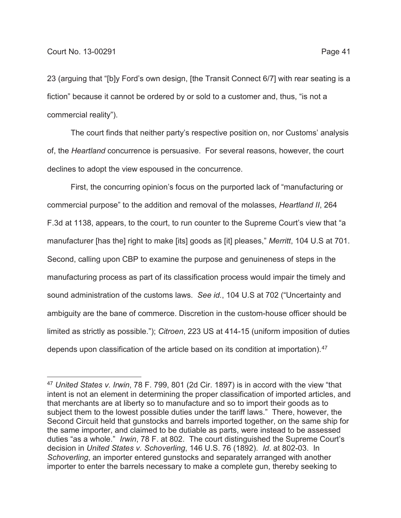23 (arguing that "[b]y Ford's own design, [the Transit Connect 6/7] with rear seating is a fiction" because it cannot be ordered by or sold to a customer and, thus, "is not a commercial reality").

The court finds that neither party's respective position on, nor Customs' analysis of, the *Heartland* concurrence is persuasive. For several reasons, however, the court declines to adopt the view espoused in the concurrence.

First, the concurring opinion's focus on the purported lack of "manufacturing or commercial purpose" to the addition and removal of the molasses, *Heartland II*, 264 F.3d at 1138, appears, to the court, to run counter to the Supreme Court's view that "a manufacturer [has the] right to make [its] goods as [it] pleases," *Merritt*, 104 U.S at 701. Second, calling upon CBP to examine the purpose and genuineness of steps in the manufacturing process as part of its classification process would impair the timely and sound administration of the customs laws. *See id.*, 104 U.S at 702 ("Uncertainty and ambiguity are the bane of commerce. Discretion in the custom-house officer should be limited as strictly as possible."); *Citroen*, 223 US at 414-15 (uniform imposition of duties depends upon classification of the article based on its condition at importation).<sup>47</sup>

<sup>47</sup> *United States v. Irwin*, 78 F. 799, 801 (2d Cir. 1897) is in accord with the view "that intent is not an element in determining the proper classification of imported articles, and that merchants are at liberty so to manufacture and so to import their goods as to subject them to the lowest possible duties under the tariff laws." There, however, the Second Circuit held that gunstocks and barrels imported together, on the same ship for the same importer, and claimed to be dutiable as parts, were instead to be assessed duties "as a whole." *Irwin*, 78 F. at 802. The court distinguished the Supreme Court's decision in *United States v. Schoverling*, 146 U.S. 76 (1892). *Id*. at 802-03. In *Schoverling*, an importer entered gunstocks and separately arranged with another importer to enter the barrels necessary to make a complete gun, thereby seeking to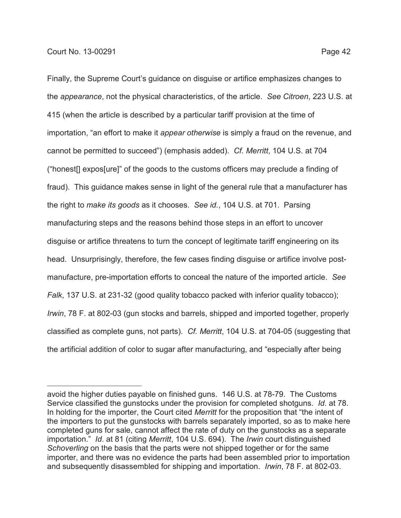Finally, the Supreme Court's guidance on disguise or artifice emphasizes changes to the *appearance*, not the physical characteristics, of the article. *See Citroen*, 223 U.S. at 415 (when the article is described by a particular tariff provision at the time of importation, "an effort to make it *appear otherwise* is simply a fraud on the revenue, and cannot be permitted to succeed") (emphasis added). *Cf. Merritt*, 104 U.S. at 704 ("honest[] expos[ure]" of the goods to the customs officers may preclude a finding of fraud). This guidance makes sense in light of the general rule that a manufacturer has the right to *make its goods* as it chooses. *See id.*, 104 U.S. at 701. Parsing manufacturing steps and the reasons behind those steps in an effort to uncover disguise or artifice threatens to turn the concept of legitimate tariff engineering on its head. Unsurprisingly, therefore, the few cases finding disguise or artifice involve postmanufacture, pre-importation efforts to conceal the nature of the imported article. *See Falk*, 137 U.S. at 231-32 (good quality tobacco packed with inferior quality tobacco); *Irwin*, 78 F. at 802-03 (gun stocks and barrels, shipped and imported together, properly classified as complete guns, not parts). *Cf. Merritt*, 104 U.S. at 704-05 (suggesting that the artificial addition of color to sugar after manufacturing, and "especially after being

avoid the higher duties payable on finished guns. 146 U.S. at 78-79. The Customs Service classified the gunstocks under the provision for completed shotguns. *Id*. at 78. In holding for the importer, the Court cited *Merritt* for the proposition that "the intent of the importers to put the gunstocks with barrels separately imported, so as to make here completed guns for sale, cannot affect the rate of duty on the gunstocks as a separate importation." *Id*. at 81 (citing *Merritt*, 104 U.S. 694). The *Irwin* court distinguished *Schoverling* on the basis that the parts were not shipped together or for the same importer, and there was no evidence the parts had been assembled prior to importation and subsequently disassembled for shipping and importation. *Irwin*, 78 F. at 802-03.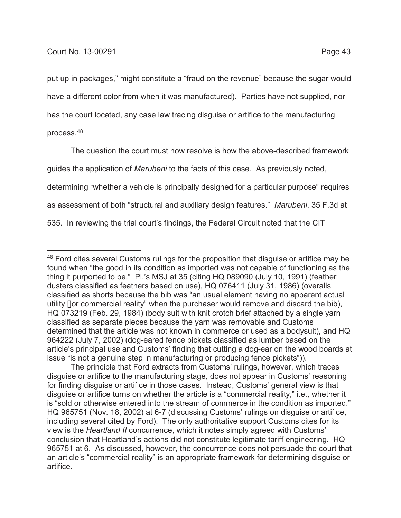put up in packages," might constitute a "fraud on the revenue" because the sugar would have a different color from when it was manufactured). Parties have not supplied, nor has the court located, any case law tracing disguise or artifice to the manufacturing process.48

The question the court must now resolve is how the above-described framework guides the application of *Marubeni* to the facts of this case. As previously noted, determining "whether a vehicle is principally designed for a particular purpose" requires as assessment of both "structural and auxiliary design features." *Marubeni*, 35 F.3d at 535. In reviewing the trial court's findings, the Federal Circuit noted that the CIT

<sup>&</sup>lt;sup>48</sup> Ford cites several Customs rulings for the proposition that disguise or artifice may be found when "the good in its condition as imported was not capable of functioning as the thing it purported to be." Pl.'s MSJ at 35 (citing HQ 089090 (July 10, 1991) (feather dusters classified as feathers based on use), HQ 076411 (July 31, 1986) (overalls classified as shorts because the bib was "an usual element having no apparent actual utility []or commercial reality" when the purchaser would remove and discard the bib), HQ 073219 (Feb. 29, 1984) (body suit with knit crotch brief attached by a single yarn classified as separate pieces because the yarn was removable and Customs determined that the article was not known in commerce or used as a bodysuit), and HQ 964222 (July 7, 2002) (dog-eared fence pickets classified as lumber based on the article's principal use and Customs' finding that cutting a dog-ear on the wood boards at issue "is not a genuine step in manufacturing or producing fence pickets")).

The principle that Ford extracts from Customs' rulings, however, which traces disguise or artifice to the manufacturing stage, does not appear in Customs' reasoning for finding disguise or artifice in those cases. Instead, Customs' general view is that disguise or artifice turns on whether the article is a "commercial reality," i.e., whether it is "sold or otherwise entered into the stream of commerce in the condition as imported." HQ 965751 (Nov. 18, 2002) at 6-7 (discussing Customs' rulings on disguise or artifice, including several cited by Ford). The only authoritative support Customs cites for its view is the *Heartland II* concurrence, which it notes simply agreed with Customs' conclusion that Heartland's actions did not constitute legitimate tariff engineering. HQ 965751 at 6. As discussed, however, the concurrence does not persuade the court that an article's "commercial reality" is an appropriate framework for determining disguise or artifice.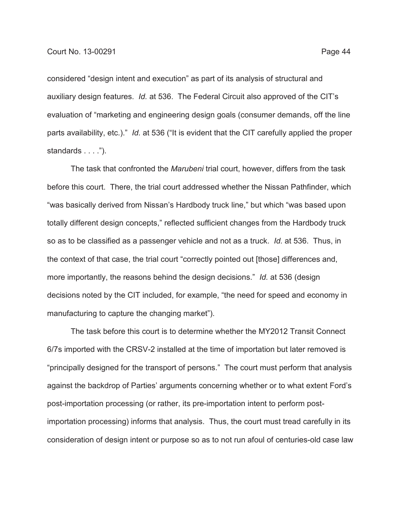considered "design intent and execution" as part of its analysis of structural and auxiliary design features. *Id.* at 536. The Federal Circuit also approved of the CIT's evaluation of "marketing and engineering design goals (consumer demands, off the line parts availability, etc.)." *Id.* at 536 ("It is evident that the CIT carefully applied the proper standards . . . .").

The task that confronted the *Marubeni* trial court, however, differs from the task before this court. There, the trial court addressed whether the Nissan Pathfinder, which "was basically derived from Nissan's Hardbody truck line," but which "was based upon totally different design concepts," reflected sufficient changes from the Hardbody truck so as to be classified as a passenger vehicle and not as a truck. *Id.* at 536. Thus, in the context of that case, the trial court "correctly pointed out [those] differences and, more importantly, the reasons behind the design decisions." *Id.* at 536 (design decisions noted by the CIT included, for example, "the need for speed and economy in manufacturing to capture the changing market").

The task before this court is to determine whether the MY2012 Transit Connect 6/7s imported with the CRSV-2 installed at the time of importation but later removed is "principally designed for the transport of persons." The court must perform that analysis against the backdrop of Parties' arguments concerning whether or to what extent Ford's post-importation processing (or rather, its pre-importation intent to perform postimportation processing) informs that analysis. Thus, the court must tread carefully in its consideration of design intent or purpose so as to not run afoul of centuries-old case law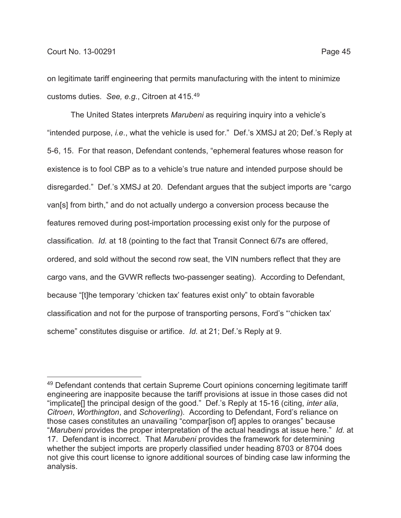customs duties. *See, e.g.*, Citroen at 415.49

on legitimate tariff engineering that permits manufacturing with the intent to minimize

The United States interprets *Marubeni* as requiring inquiry into a vehicle's "intended purpose, *i.e*., what the vehicle is used for." Def.'s XMSJ at 20; Def.'s Reply at 5-6, 15. For that reason, Defendant contends, "ephemeral features whose reason for existence is to fool CBP as to a vehicle's true nature and intended purpose should be disregarded." Def.'s XMSJ at 20. Defendant argues that the subject imports are "cargo van[s] from birth," and do not actually undergo a conversion process because the features removed during post-importation processing exist only for the purpose of classification. *Id.* at 18 (pointing to the fact that Transit Connect 6/7s are offered, ordered, and sold without the second row seat, the VIN numbers reflect that they are cargo vans, and the GVWR reflects two-passenger seating). According to Defendant, because "[t]he temporary 'chicken tax' features exist only" to obtain favorable classification and not for the purpose of transporting persons, Ford's "'chicken tax' scheme" constitutes disguise or artifice. *Id.* at 21; Def.'s Reply at 9.

<sup>&</sup>lt;sup>49</sup> Defendant contends that certain Supreme Court opinions concerning legitimate tariff engineering are inapposite because the tariff provisions at issue in those cases did not "implicate[] the principal design of the good." Def.'s Reply at 15-16 (citing, *inter alia*, *Citroen*, *Worthington*, and *Schoverling*). According to Defendant, Ford's reliance on those cases constitutes an unavailing "compar[ison of] apples to oranges" because "*Marubeni* provides the proper interpretation of the actual headings at issue here." *Id.* at 17. Defendant is incorrect. That *Marubeni* provides the framework for determining whether the subject imports are properly classified under heading 8703 or 8704 does not give this court license to ignore additional sources of binding case law informing the analysis.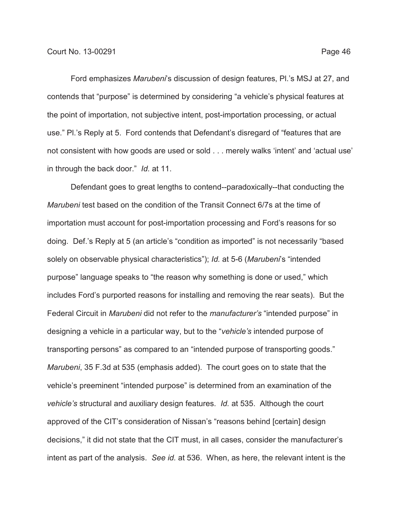contends that "purpose" is determined by considering "a vehicle's physical features at the point of importation, not subjective intent, post-importation processing, or actual use." Pl.'s Reply at 5. Ford contends that Defendant's disregard of "features that are not consistent with how goods are used or sold . . . merely walks 'intent' and 'actual use' in through the back door." *Id.* at 11.

Defendant goes to great lengths to contend--paradoxically--that conducting the *Marubeni* test based on the condition of the Transit Connect 6/7s at the time of importation must account for post-importation processing and Ford's reasons for so doing. Def.'s Reply at 5 (an article's "condition as imported" is not necessarily "based solely on observable physical characteristics"); *Id.* at 5-6 (*Marubeni*'s "intended purpose" language speaks to "the reason why something is done or used," which includes Ford's purported reasons for installing and removing the rear seats). But the Federal Circuit in *Marubeni* did not refer to the *manufacturer's* "intended purpose" in designing a vehicle in a particular way, but to the "*vehicle's* intended purpose of transporting persons" as compared to an "intended purpose of transporting goods." *Marubeni*, 35 F.3d at 535 (emphasis added). The court goes on to state that the vehicle's preeminent "intended purpose" is determined from an examination of the *vehicle's* structural and auxiliary design features. *Id.* at 535. Although the court approved of the CIT's consideration of Nissan's "reasons behind [certain] design decisions," it did not state that the CIT must, in all cases, consider the manufacturer's intent as part of the analysis. *See id.* at 536. When, as here, the relevant intent is the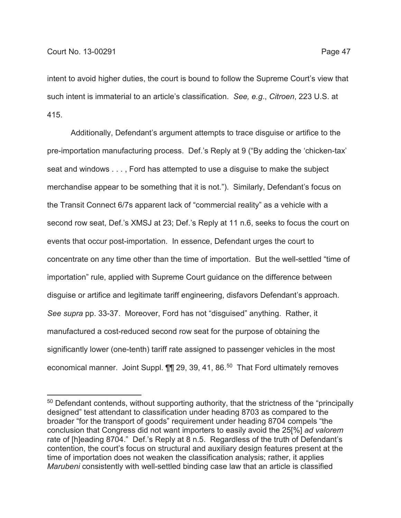intent to avoid higher duties, the court is bound to follow the Supreme Court's view that such intent is immaterial to an article's classification. *See, e.g*., *Citroen*, 223 U.S. at 415.

Additionally, Defendant's argument attempts to trace disguise or artifice to the pre-importation manufacturing process. Def.'s Reply at 9 ("By adding the 'chicken-tax' seat and windows . . . , Ford has attempted to use a disguise to make the subject merchandise appear to be something that it is not."). Similarly, Defendant's focus on the Transit Connect 6/7s apparent lack of "commercial reality" as a vehicle with a second row seat, Def.'s XMSJ at 23; Def.'s Reply at 11 n.6, seeks to focus the court on events that occur post-importation. In essence, Defendant urges the court to concentrate on any time other than the time of importation. But the well-settled "time of importation" rule, applied with Supreme Court guidance on the difference between disguise or artifice and legitimate tariff engineering, disfavors Defendant's approach. *See supra* pp. 33-37. Moreover, Ford has not "disguised" anything. Rather, it manufactured a cost-reduced second row seat for the purpose of obtaining the significantly lower (one-tenth) tariff rate assigned to passenger vehicles in the most economical manner. Joint Suppl. 11 29, 39, 41, 86.<sup>50</sup> That Ford ultimately removes

<sup>&</sup>lt;sup>50</sup> Defendant contends, without supporting authority, that the strictness of the "principally designed" test attendant to classification under heading 8703 as compared to the broader "for the transport of goods" requirement under heading 8704 compels "the conclusion that Congress did not want importers to easily avoid the 25[%] *ad valorem* rate of [h]eading 8704." Def.'s Reply at 8 n.5. Regardless of the truth of Defendant's contention, the court's focus on structural and auxiliary design features present at the time of importation does not weaken the classification analysis; rather, it applies *Marubeni* consistently with well-settled binding case law that an article is classified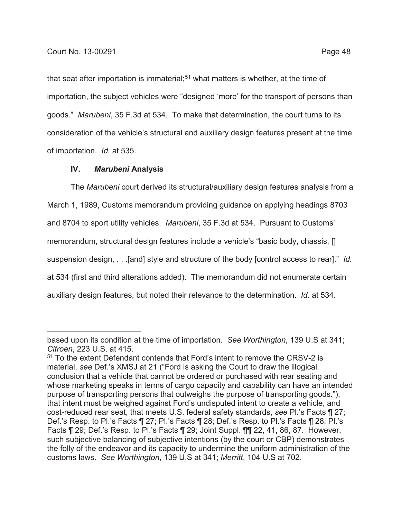that seat after importation is immaterial;<sup>51</sup> what matters is whether, at the time of importation, the subject vehicles were "designed 'more' for the transport of persons than goods." *Marubeni*, 35 F.3d at 534. To make that determination, the court turns to its consideration of the vehicle's structural and auxiliary design features present at the time of importation. *Id.* at 535.

# **IV.** *Marubeni* **Analysis**

The *Marubeni* court derived its structural/auxiliary design features analysis from a March 1, 1989, Customs memorandum providing guidance on applying headings 8703 and 8704 to sport utility vehicles. *Marubeni*, 35 F.3d at 534. Pursuant to Customs' memorandum, structural design features include a vehicle's "basic body, chassis, [] suspension design, . . .[and] style and structure of the body [control access to rear]." *Id.* at 534 (first and third alterations added). The memorandum did not enumerate certain auxiliary design features, but noted their relevance to the determination. *Id.* at 534.

based upon its condition at the time of importation. *See Worthington*, 139 U.S at 341; *Citroen*, 223 U.S. at 415.

<sup>&</sup>lt;sup>51</sup> To the extent Defendant contends that Ford's intent to remove the CRSV-2 is material, *see* Def.'s XMSJ at 21 ("Ford is asking the Court to draw the illogical conclusion that a vehicle that cannot be ordered or purchased with rear seating and whose marketing speaks in terms of cargo capacity and capability can have an intended purpose of transporting persons that outweighs the purpose of transporting goods."), that intent must be weighed against Ford's undisputed intent to create a vehicle, and cost-reduced rear seat, that meets U.S. federal safety standards, *see* Pl.'s Facts ¶ 27; Def.'s Resp. to Pl.'s Facts ¶ 27; Pl.'s Facts ¶ 28; Def.'s Resp. to Pl.'s Facts ¶ 28; Pl.'s Facts ¶ 29; Def.'s Resp. to Pl.'s Facts ¶ 29; Joint Suppl. ¶¶ 22, 41, 86, 87. However, such subjective balancing of subjective intentions (by the court or CBP) demonstrates the folly of the endeavor and its capacity to undermine the uniform administration of the customs laws. *See Worthington*, 139 U.S at 341; *Merritt*, 104 U.S at 702.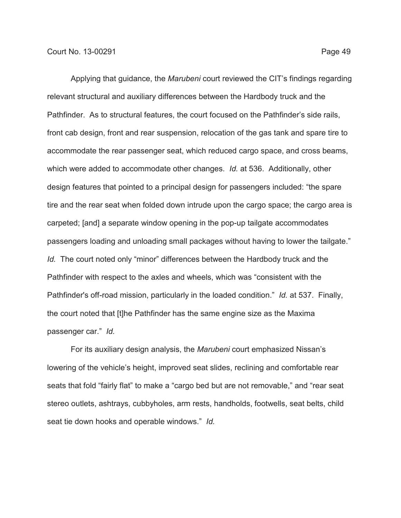Applying that guidance, the *Marubeni* court reviewed the CIT's findings regarding relevant structural and auxiliary differences between the Hardbody truck and the Pathfinder. As to structural features, the court focused on the Pathfinder's side rails, front cab design, front and rear suspension, relocation of the gas tank and spare tire to accommodate the rear passenger seat, which reduced cargo space, and cross beams, which were added to accommodate other changes. *Id.* at 536. Additionally, other design features that pointed to a principal design for passengers included: "the spare tire and the rear seat when folded down intrude upon the cargo space; the cargo area is carpeted; [and] a separate window opening in the pop-up tailgate accommodates passengers loading and unloading small packages without having to lower the tailgate." *Id.* The court noted only "minor" differences between the Hardbody truck and the

Pathfinder with respect to the axles and wheels, which was "consistent with the Pathfinder's off-road mission, particularly in the loaded condition." *Id.* at 537. Finally, the court noted that [t]he Pathfinder has the same engine size as the Maxima passenger car." *Id.*

For its auxiliary design analysis, the *Marubeni* court emphasized Nissan's lowering of the vehicle's height, improved seat slides, reclining and comfortable rear seats that fold "fairly flat" to make a "cargo bed but are not removable," and "rear seat stereo outlets, ashtrays, cubbyholes, arm rests, handholds, footwells, seat belts, child seat tie down hooks and operable windows." *Id.*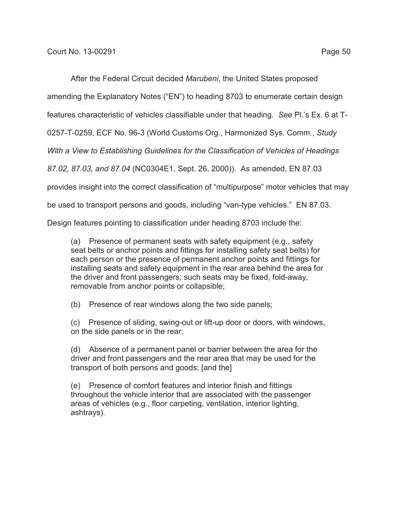After the Federal Circuit decided *Marubeni*, the United States proposed

amending the Explanatory Notes ("EN") to heading 8703 to enumerate certain design

features characteristic of vehicles classifiable under that heading. *See* Pl.'s Ex. 6 at T-

0257-T-0259, ECF No. 96-3 (World Customs Org., Harmonized Sys. Comm., *Study*

*With a View to Establishing Guidelines for the Classification of Vehicles of Headings*

*87.02, 87.03, and 87.04* (NC0304E1, Sept. 26, 2000)). As amended, EN 87.03

provides insight into the correct classification of "multipurpose" motor vehicles that may

be used to transport persons and goods, including "van-type vehicles." EN 87.03.

Design features pointing to classification under heading 8703 include the:

(a) Presence of permanent seats with safety equipment (e.g., safety seat belts or anchor points and fittings for installing safety seat belts) for each person or the presence of permanent anchor points and fittings for installing seats and safety equipment in the rear area behind the area for the driver and front passengers; such seats may be fixed, fold-away, removable from anchor points or collapsible;

(b) Presence of rear windows along the two side panels;

(c) Presence of sliding, swing-out or lift-up door or doors, with windows, on the side panels or in the rear;

(d) Absence of a permanent panel or barrier between the area for the driver and front passengers and the rear area that may be used for the transport of both persons and goods; [and the]

(e) Presence of comfort features and interior finish and fittings throughout the vehicle interior that are associated with the passenger areas of vehicles (e.g., floor carpeting, ventilation, interior lighting, ashtrays).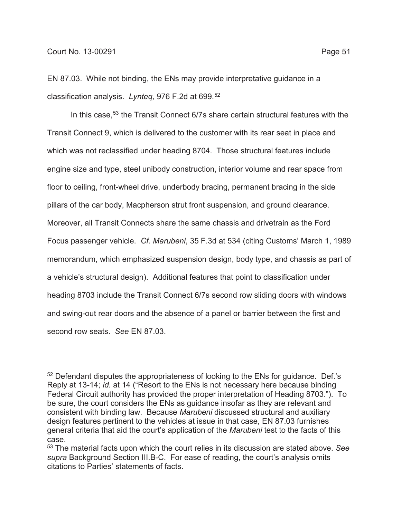EN 87.03. While not binding, the ENs may provide interpretative guidance in a classification analysis. *Lynteq,* 976 F.2d at 699.52

In this case,<sup>53</sup> the Transit Connect 6/7s share certain structural features with the Transit Connect 9, which is delivered to the customer with its rear seat in place and which was not reclassified under heading 8704. Those structural features include engine size and type, steel unibody construction, interior volume and rear space from floor to ceiling, front-wheel drive, underbody bracing, permanent bracing in the side pillars of the car body, Macpherson strut front suspension, and ground clearance. Moreover, all Transit Connects share the same chassis and drivetrain as the Ford Focus passenger vehicle. *Cf. Marubeni*, 35 F.3d at 534 (citing Customs' March 1, 1989 memorandum, which emphasized suspension design, body type, and chassis as part of a vehicle's structural design). Additional features that point to classification under heading 8703 include the Transit Connect 6/7s second row sliding doors with windows and swing-out rear doors and the absence of a panel or barrier between the first and second row seats. *See* EN 87.03.

<sup>52</sup> Defendant disputes the appropriateness of looking to the ENs for guidance. Def.'s Reply at 13-14; *id.* at 14 ("Resort to the ENs is not necessary here because binding Federal Circuit authority has provided the proper interpretation of Heading 8703."). To be sure, the court considers the ENs as guidance insofar as they are relevant and consistent with binding law. Because *Marubeni* discussed structural and auxiliary design features pertinent to the vehicles at issue in that case, EN 87.03 furnishes general criteria that aid the court's application of the *Marubeni* test to the facts of this case.

<sup>53</sup> The material facts upon which the court relies in its discussion are stated above. *See supra* Background Section III.B-C. For ease of reading, the court's analysis omits citations to Parties' statements of facts.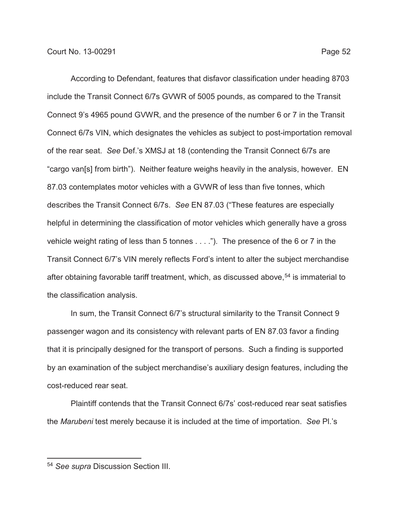According to Defendant, features that disfavor classification under heading 8703 include the Transit Connect 6/7s GVWR of 5005 pounds, as compared to the Transit Connect 9's 4965 pound GVWR, and the presence of the number 6 or 7 in the Transit Connect 6/7s VIN, which designates the vehicles as subject to post-importation removal of the rear seat. *See* Def.'s XMSJ at 18 (contending the Transit Connect 6/7s are "cargo van[s] from birth"). Neither feature weighs heavily in the analysis, however. EN 87.03 contemplates motor vehicles with a GVWR of less than five tonnes, which describes the Transit Connect 6/7s. *See* EN 87.03 ("These features are especially helpful in determining the classification of motor vehicles which generally have a gross vehicle weight rating of less than 5 tonnes . . . ."). The presence of the 6 or 7 in the Transit Connect 6/7's VIN merely reflects Ford's intent to alter the subject merchandise after obtaining favorable tariff treatment, which, as discussed above,<sup>54</sup> is immaterial to the classification analysis.

In sum, the Transit Connect 6/7's structural similarity to the Transit Connect 9 passenger wagon and its consistency with relevant parts of EN 87.03 favor a finding that it is principally designed for the transport of persons. Such a finding is supported by an examination of the subject merchandise's auxiliary design features, including the cost-reduced rear seat.

Plaintiff contends that the Transit Connect 6/7s' cost-reduced rear seat satisfies the *Marubeni* test merely because it is included at the time of importation. *See* Pl.'s

<sup>54</sup> *See supra* Discussion Section III.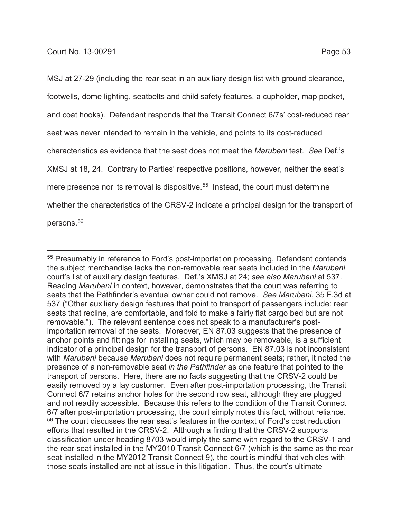MSJ at 27-29 (including the rear seat in an auxiliary design list with ground clearance, footwells, dome lighting, seatbelts and child safety features, a cupholder, map pocket, and coat hooks). Defendant responds that the Transit Connect 6/7s' cost-reduced rear seat was never intended to remain in the vehicle, and points to its cost-reduced characteristics as evidence that the seat does not meet the *Marubeni* test. *See* Def.'s XMSJ at 18, 24. Contrary to Parties' respective positions, however, neither the seat's mere presence nor its removal is dispositive.<sup>55</sup> Instead, the court must determine whether the characteristics of the CRSV-2 indicate a principal design for the transport of persons.<sup>56</sup>

<sup>55</sup> Presumably in reference to Ford's post-importation processing, Defendant contends the subject merchandise lacks the non-removable rear seats included in the *Marubeni* court's list of auxiliary design features. Def.'s XMSJ at 24; *see also Marubeni* at 537. Reading *Marubeni* in context, however, demonstrates that the court was referring to seats that the Pathfinder's eventual owner could not remove. *See Marubeni*, 35 F.3d at 537 ("Other auxiliary design features that point to transport of passengers include: rear seats that recline, are comfortable, and fold to make a fairly flat cargo bed but are not removable."). The relevant sentence does not speak to a manufacturer's postimportation removal of the seats. Moreover, EN 87.03 suggests that the presence of anchor points and fittings for installing seats, which may be removable, is a sufficient indicator of a principal design for the transport of persons. EN 87.03 is not inconsistent with *Marubeni* because *Marubeni* does not require permanent seats; rather, it noted the presence of a non-removable seat *in the Pathfinder* as one feature that pointed to the transport of persons. Here, there are no facts suggesting that the CRSV-2 could be easily removed by a lay customer. Even after post-importation processing, the Transit Connect 6/7 retains anchor holes for the second row seat, although they are plugged and not readily accessible. Because this refers to the condition of the Transit Connect 6/7 after post-importation processing, the court simply notes this fact, without reliance. <sup>56</sup> The court discusses the rear seat's features in the context of Ford's cost reduction efforts that resulted in the CRSV-2. Although a finding that the CRSV-2 supports classification under heading 8703 would imply the same with regard to the CRSV-1 and the rear seat installed in the MY2010 Transit Connect 6/7 (which is the same as the rear seat installed in the MY2012 Transit Connect 9), the court is mindful that vehicles with those seats installed are not at issue in this litigation. Thus, the court's ultimate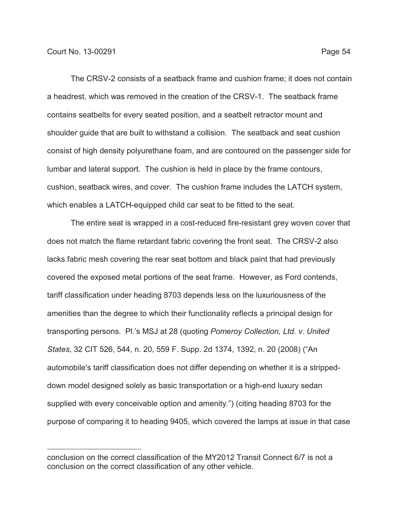The CRSV-2 consists of a seatback frame and cushion frame; it does not contain a headrest, which was removed in the creation of the CRSV-1. The seatback frame contains seatbelts for every seated position, and a seatbelt retractor mount and shoulder guide that are built to withstand a collision. The seatback and seat cushion consist of high density polyurethane foam, and are contoured on the passenger side for lumbar and lateral support. The cushion is held in place by the frame contours, cushion, seatback wires, and cover. The cushion frame includes the LATCH system, which enables a LATCH-equipped child car seat to be fitted to the seat.

The entire seat is wrapped in a cost-reduced fire-resistant grey woven cover that does not match the flame retardant fabric covering the front seat. The CRSV-2 also lacks fabric mesh covering the rear seat bottom and black paint that had previously covered the exposed metal portions of the seat frame. However, as Ford contends, tariff classification under heading 8703 depends less on the luxuriousness of the amenities than the degree to which their functionality reflects a principal design for transporting persons. Pl.'s MSJ at 28 (quoting *Pomeroy Collection, Ltd. v. United States*, 32 CIT 526, 544, n. 20, 559 F. Supp. 2d 1374, 1392, n. 20 (2008) ("An automobile's tariff classification does not differ depending on whether it is a strippeddown model designed solely as basic transportation or a high-end luxury sedan supplied with every conceivable option and amenity.") (citing heading 8703 for the purpose of comparing it to heading 9405, which covered the lamps at issue in that case

conclusion on the correct classification of the MY2012 Transit Connect 6/7 is not a conclusion on the correct classification of any other vehicle.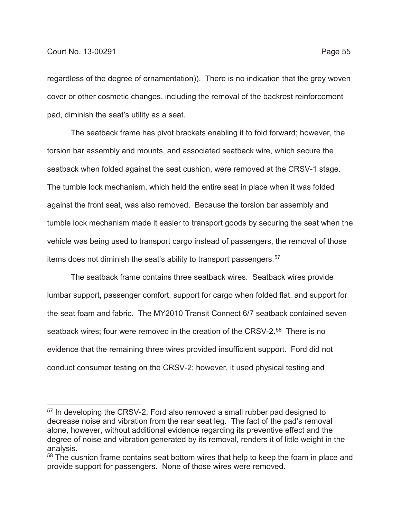regardless of the degree of ornamentation)). There is no indication that the grey woven cover or other cosmetic changes, including the removal of the backrest reinforcement pad, diminish the seat's utility as a seat.

The seatback frame has pivot brackets enabling it to fold forward; however, the torsion bar assembly and mounts, and associated seatback wire, which secure the seatback when folded against the seat cushion, were removed at the CRSV-1 stage. The tumble lock mechanism, which held the entire seat in place when it was folded against the front seat, was also removed. Because the torsion bar assembly and tumble lock mechanism made it easier to transport goods by securing the seat when the vehicle was being used to transport cargo instead of passengers, the removal of those items does not diminish the seat's ability to transport passengers.<sup>57</sup>

The seatback frame contains three seatback wires. Seatback wires provide lumbar support, passenger comfort, support for cargo when folded flat, and support for the seat foam and fabric. The MY2010 Transit Connect 6/7 seatback contained seven seatback wires; four were removed in the creation of the CRSV-2.<sup>58</sup> There is no evidence that the remaining three wires provided insufficient support. Ford did not conduct consumer testing on the CRSV-2; however, it used physical testing and

<sup>57</sup> In developing the CRSV-2, Ford also removed a small rubber pad designed to decrease noise and vibration from the rear seat leg. The fact of the pad's removal alone, however, without additional evidence regarding its preventive effect and the degree of noise and vibration generated by its removal, renders it of little weight in the analysis.

<sup>&</sup>lt;sup>58</sup> The cushion frame contains seat bottom wires that help to keep the foam in place and provide support for passengers. None of those wires were removed.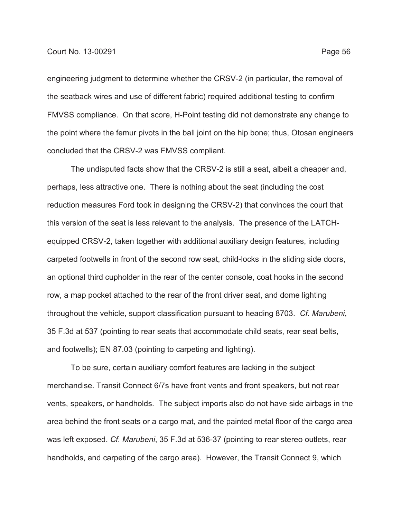engineering judgment to determine whether the CRSV-2 (in particular, the removal of the seatback wires and use of different fabric) required additional testing to confirm FMVSS compliance. On that score, H-Point testing did not demonstrate any change to the point where the femur pivots in the ball joint on the hip bone; thus, Otosan engineers concluded that the CRSV-2 was FMVSS compliant.

The undisputed facts show that the CRSV-2 is still a seat, albeit a cheaper and, perhaps, less attractive one. There is nothing about the seat (including the cost reduction measures Ford took in designing the CRSV-2) that convinces the court that this version of the seat is less relevant to the analysis. The presence of the LATCHequipped CRSV-2, taken together with additional auxiliary design features, including carpeted footwells in front of the second row seat, child-locks in the sliding side doors, an optional third cupholder in the rear of the center console, coat hooks in the second row, a map pocket attached to the rear of the front driver seat, and dome lighting throughout the vehicle, support classification pursuant to heading 8703. *Cf. Marubeni*, 35 F.3d at 537 (pointing to rear seats that accommodate child seats, rear seat belts, and footwells); EN 87.03 (pointing to carpeting and lighting).

To be sure, certain auxiliary comfort features are lacking in the subject merchandise. Transit Connect 6/7s have front vents and front speakers, but not rear vents, speakers, or handholds. The subject imports also do not have side airbags in the area behind the front seats or a cargo mat, and the painted metal floor of the cargo area was left exposed. *Cf. Marubeni*, 35 F.3d at 536-37 (pointing to rear stereo outlets, rear handholds, and carpeting of the cargo area). However, the Transit Connect 9, which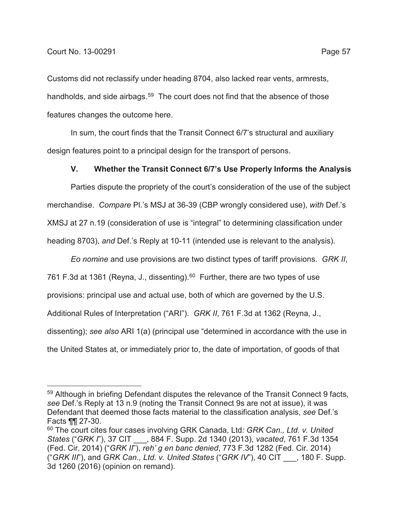Customs did not reclassify under heading 8704, also lacked rear vents, armrests, handholds, and side airbags.<sup>59</sup> The court does not find that the absence of those features changes the outcome here.

In sum, the court finds that the Transit Connect 6/7's structural and auxiliary design features point to a principal design for the transport of persons.

### **V. Whether the Transit Connect 6/7's Use Properly Informs the Analysis**

Parties dispute the propriety of the court's consideration of the use of the subject merchandise. *Compare* Pl.'s MSJ at 36-39 (CBP wrongly considered use), *with* Def.'s XMSJ at 27 n.19 (consideration of use is "integral" to determining classification under heading 8703), *and* Def.'s Reply at 10-11 (intended use is relevant to the analysis).

*Eo nomine* and use provisions are two distinct types of tariff provisions. *GRK II*, 761 F.3d at 1361 (Reyna, J., dissenting).  $60$  Further, there are two types of use provisions: principal use and actual use, both of which are governed by the U.S. Additional Rules of Interpretation ("ARI"). *GRK II*, 761 F.3d at 1362 (Reyna, J., dissenting); *see also* ARI 1(a) (principal use "determined in accordance with the use in the United States at, or immediately prior to, the date of importation, of goods of that

<sup>&</sup>lt;sup>59</sup> Although in briefing Defendant disputes the relevance of the Transit Connect 9 facts, *see* Def.'s Reply at 13 n.9 (noting the Transit Connect 9s are not at issue), it was Defendant that deemed those facts material to the classification analysis, *see* Def.'s Facts ¶¶ 27-30.

<sup>60</sup> The court cites four cases involving GRK Canada, Ltd*: GRK Can., Ltd. v. United States* ("*GRK I*"), 37 CIT \_\_\_, 884 F. Supp. 2d 1340 (2013), *vacated*, 761 F.3d 1354 (Fed. Cir. 2014) ("*GRK II*"), *reh' g en banc denied*, 773 F.3d 1282 (Fed. Cir. 2014) ("*GRK III*"), and *GRK Can., Ltd. v. United States* ("*GRK IV*"), 40 CIT \_\_\_, 180 F. Supp. 3d 1260 (2016) (opinion on remand).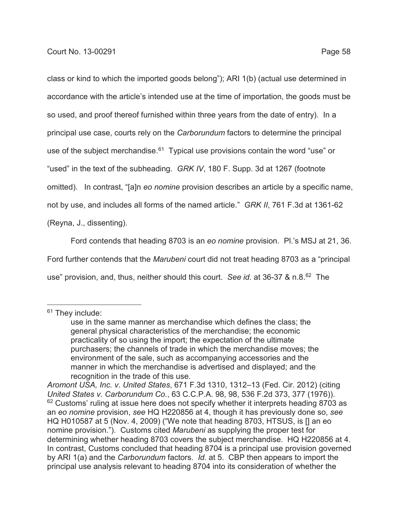class or kind to which the imported goods belong"); ARI 1(b) (actual use determined in accordance with the article's intended use at the time of importation, the goods must be so used, and proof thereof furnished within three years from the date of entry). In a principal use case, courts rely on the *Carborundum* factors to determine the principal use of the subject merchandise.<sup>61</sup> Typical use provisions contain the word "use" or "used" in the text of the subheading. *GRK IV*, 180 F. Supp. 3d at 1267 (footnote omitted). In contrast, "[a]n *eo nomine* provision describes an article by a specific name, not by use, and includes all forms of the named article." *GRK II*, 761 F.3d at 1361-62 (Reyna, J., dissenting).

Ford contends that heading 8703 is an *eo nomine* provision. Pl.'s MSJ at 21, 36. Ford further contends that the *Marubeni* court did not treat heading 8703 as a "principal use" provision, and, thus, neither should this court. *See id.* at 36-37 & n.8.62 The

<sup>&</sup>lt;sup>61</sup> They include:

use in the same manner as merchandise which defines the class; the general physical characteristics of the merchandise; the economic practicality of so using the import; the expectation of the ultimate purchasers; the channels of trade in which the merchandise moves; the environment of the sale, such as accompanying accessories and the manner in which the merchandise is advertised and displayed; and the recognition in the trade of this use.

*Aromont USA, Inc. v. United States*, 671 F.3d 1310, 1312–13 (Fed. Cir. 2012) (citing *United States v. Carborundum Co.*, 63 C.C.P.A. 98, 98, 536 F.2d 373, 377 (1976)).  $62$  Customs' ruling at issue here does not specify whether it interprets heading 8703 as an *eo nomine* provision, *see* HQ H220856 at 4, though it has previously done so, *see* HQ H010587 at 5 (Nov. 4, 2009) ("We note that heading 8703, HTSUS, is [] an eo nomine provision."). Customs cited *Marubeni* as supplying the proper test for determining whether heading 8703 covers the subject merchandise. HQ H220856 at 4. In contrast, Customs concluded that heading 8704 is a principal use provision governed by ARI 1(a) and the *Carborundum* factors. *Id.* at 5. CBP then appears to import the principal use analysis relevant to heading 8704 into its consideration of whether the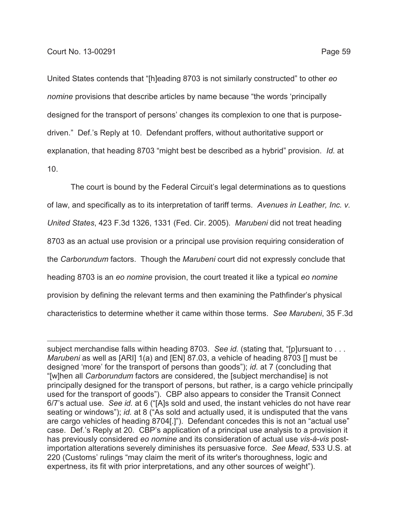United States contends that "[h]eading 8703 is not similarly constructed" to other *eo nomine* provisions that describe articles by name because "the words 'principally designed for the transport of persons' changes its complexion to one that is purposedriven." Def.'s Reply at 10. Defendant proffers, without authoritative support or explanation, that heading 8703 "might best be described as a hybrid" provision. *Id.* at 10.

The court is bound by the Federal Circuit's legal determinations as to questions of law, and specifically as to its interpretation of tariff terms. *Avenues in Leather, Inc. v. United States*, 423 F.3d 1326, 1331 (Fed. Cir. 2005). *Marubeni* did not treat heading 8703 as an actual use provision or a principal use provision requiring consideration of the *Carborundum* factors. Though the *Marubeni* court did not expressly conclude that heading 8703 is an *eo nomine* provision, the court treated it like a typical *eo nomine* provision by defining the relevant terms and then examining the Pathfinder's physical characteristics to determine whether it came within those terms. *See Marubeni*, 35 F.3d

subject merchandise falls within heading 8703. *See id.* (stating that, "[p]ursuant to . . . *Marubeni* as well as [ARI] 1(a) and [EN] 87.03, a vehicle of heading 8703 [] must be designed 'more' for the transport of persons than goods"); *id.* at 7 (concluding that "[w]hen all *Carborundum* factors are considered, the [subject merchandise] is not principally designed for the transport of persons, but rather, is a cargo vehicle principally used for the transport of goods"). CBP also appears to consider the Transit Connect 6/7's actual use. *See id.* at 6 ("[A]s sold and used, the instant vehicles do not have rear seating or windows"); *id.* at 8 ("As sold and actually used, it is undisputed that the vans are cargo vehicles of heading 8704[.]"). Defendant concedes this is not an "actual use" case. Def.'s Reply at 20. CBP's application of a principal use analysis to a provision it has previously considered *eo nomine* and its consideration of actual use *vis-à-vis* postimportation alterations severely diminishes its persuasive force. *See Mead*, 533 U.S. at 220 (Customs' rulings "may claim the merit of its writer's thoroughness, logic and expertness, its fit with prior interpretations, and any other sources of weight").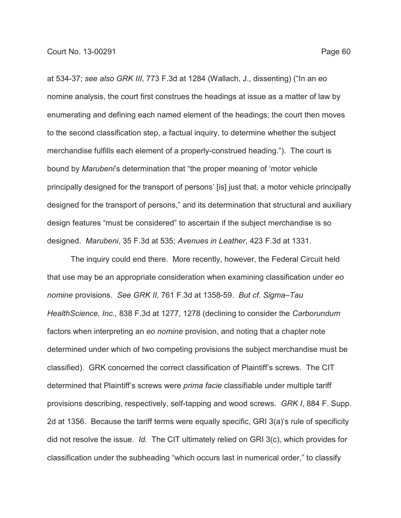at 534-37; *see also GRK III*, 773 F.3d at 1284 (Wallach, J., dissenting) ("In an eo

nomine analysis, the court first construes the headings at issue as a matter of law by enumerating and defining each named element of the headings; the court then moves to the second classification step, a factual inquiry, to determine whether the subject merchandise fulfills each element of a properly-construed heading."). The court is bound by *Marubeni*'s determination that "the proper meaning of 'motor vehicle principally designed for the transport of persons' [is] just that, a motor vehicle principally designed for the transport of persons," and its determination that structural and auxiliary design features "must be considered" to ascertain if the subject merchandise is so designed. *Marubeni*, 35 F.3d at 535; *Avenues in Leather*, 423 F.3d at 1331.

The inquiry could end there. More recently, however, the Federal Circuit held that use may be an appropriate consideration when examining classification under *eo nomine* provisions. *See GRK II*, 761 F.3d at 1358-59. *But cf. Sigma–Tau HealthScience, Inc.,* 838 F.3d at 1277, 1278 (declining to consider the *Carborundum* factors when interpreting an *eo nomine* provision, and noting that a chapter note determined under which of two competing provisions the subject merchandise must be classified). GRK concerned the correct classification of Plaintiff's screws. The CIT determined that Plaintiff's screws were *prima facie* classifiable under multiple tariff provisions describing, respectively, self-tapping and wood screws. *GRK I*, 884 F. Supp. 2d at 1356. Because the tariff terms were equally specific, GRI 3(a)'s rule of specificity did not resolve the issue. *Id.* The CIT ultimately relied on GRI 3(c), which provides for classification under the subheading "which occurs last in numerical order," to classify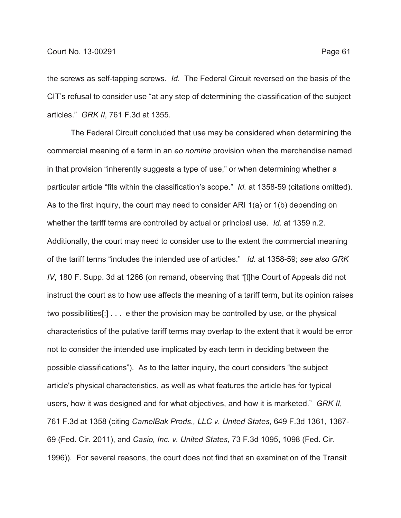the screws as self-tapping screws. *Id.* The Federal Circuit reversed on the basis of the CIT's refusal to consider use "at any step of determining the classification of the subject articles." *GRK II*, 761 F.3d at 1355.

The Federal Circuit concluded that use may be considered when determining the commercial meaning of a term in an *eo nomine* provision when the merchandise named in that provision "inherently suggests a type of use," or when determining whether a particular article "fits within the classification's scope." *Id.* at 1358-59 (citations omitted). As to the first inquiry, the court may need to consider ARI 1(a) or 1(b) depending on whether the tariff terms are controlled by actual or principal use. *Id.* at 1359 n.2. Additionally, the court may need to consider use to the extent the commercial meaning of the tariff terms "includes the intended use of articles." *Id.* at 1358-59; *see also GRK IV*, 180 F. Supp. 3d at 1266 (on remand, observing that "[t]he Court of Appeals did not instruct the court as to how use affects the meaning of a tariff term, but its opinion raises two possibilities[:] . . . either the provision may be controlled by use, or the physical characteristics of the putative tariff terms may overlap to the extent that it would be error not to consider the intended use implicated by each term in deciding between the possible classifications"). As to the latter inquiry, the court considers "the subject article's physical characteristics, as well as what features the article has for typical users, how it was designed and for what objectives, and how it is marketed." *GRK II*, 761 F.3d at 1358 (citing *CamelBak Prods., LLC v. United States*, 649 F.3d 1361, 1367- 69 (Fed. Cir. 2011), and *Casio, Inc. v. United States,* 73 F.3d 1095, 1098 (Fed. Cir. 1996)). For several reasons, the court does not find that an examination of the Transit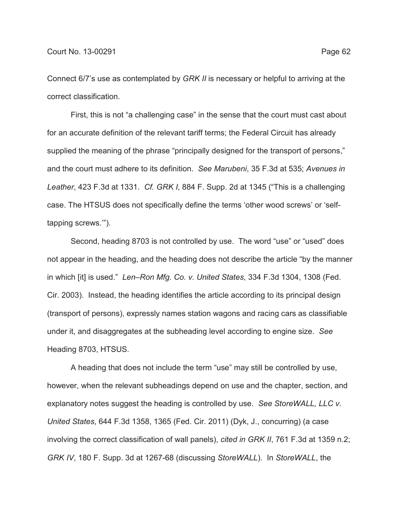Connect 6/7's use as contemplated by *GRK II* is necessary or helpful to arriving at the correct classification.

First, this is not "a challenging case" in the sense that the court must cast about for an accurate definition of the relevant tariff terms; the Federal Circuit has already supplied the meaning of the phrase "principally designed for the transport of persons," and the court must adhere to its definition. *See Marubeni*, 35 F.3d at 535; *Avenues in Leather*, 423 F.3d at 1331. *Cf. GRK I*, 884 F. Supp. 2d at 1345 ("This is a challenging case. The HTSUS does not specifically define the terms 'other wood screws' or 'selftapping screws.'").

Second, heading 8703 is not controlled by use. The word "use" or "used" does not appear in the heading, and the heading does not describe the article "by the manner in which [it] is used." *Len–Ron Mfg. Co. v. United States*, 334 F.3d 1304, 1308 (Fed. Cir. 2003). Instead, the heading identifies the article according to its principal design (transport of persons), expressly names station wagons and racing cars as classifiable under it, and disaggregates at the subheading level according to engine size. *See* Heading 8703, HTSUS.

A heading that does not include the term "use" may still be controlled by use, however, when the relevant subheadings depend on use and the chapter, section, and explanatory notes suggest the heading is controlled by use. *See StoreWALL, LLC v. United States*, 644 F.3d 1358, 1365 (Fed. Cir. 2011) (Dyk, J., concurring) (a case involving the correct classification of wall panels), *cited in GRK II*, 761 F.3d at 1359 n.2; *GRK IV*, 180 F. Supp. 3d at 1267-68 (discussing *StoreWALL*). In *StoreWALL*, the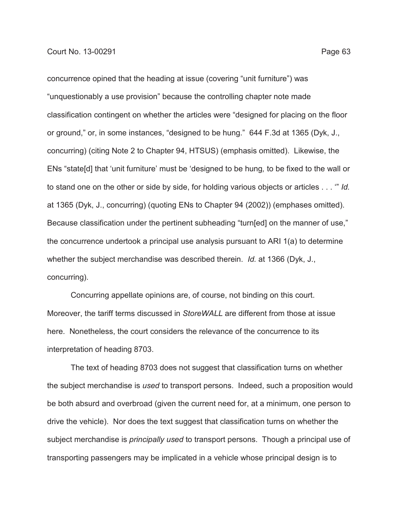concurrence opined that the heading at issue (covering "unit furniture") was "unquestionably a use provision" because the controlling chapter note made classification contingent on whether the articles were "designed for placing on the floor or ground," or, in some instances, "designed to be hung." 644 F.3d at 1365 (Dyk, J., concurring) (citing Note 2 to Chapter 94, HTSUS) (emphasis omitted). Likewise, the ENs "state[d] that 'unit furniture' must be 'designed to be hung*,* to be fixed to the wall or to stand one on the other or side by side, for holding various objects or articles . . . '" *Id.* at 1365 (Dyk, J., concurring) (quoting ENs to Chapter 94 (2002)) (emphases omitted). Because classification under the pertinent subheading "turn[ed] on the manner of use," the concurrence undertook a principal use analysis pursuant to ARI 1(a) to determine whether the subject merchandise was described therein. *Id.* at 1366 (Dyk, J., concurring).

Concurring appellate opinions are, of course, not binding on this court. Moreover, the tariff terms discussed in *StoreWALL* are different from those at issue here. Nonetheless, the court considers the relevance of the concurrence to its interpretation of heading 8703.

The text of heading 8703 does not suggest that classification turns on whether the subject merchandise is *used* to transport persons. Indeed, such a proposition would be both absurd and overbroad (given the current need for, at a minimum, one person to drive the vehicle). Nor does the text suggest that classification turns on whether the subject merchandise is *principally used* to transport persons. Though a principal use of transporting passengers may be implicated in a vehicle whose principal design is to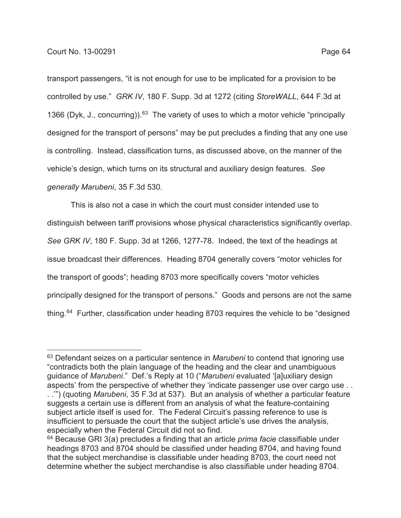transport passengers, "it is not enough for use to be implicated for a provision to be controlled by use." *GRK IV*, 180 F. Supp. 3d at 1272 (citing *StoreWALL*, 644 F.3d at 1366 (Dyk, J., concurring)).<sup>63</sup> The variety of uses to which a motor vehicle "principally designed for the transport of persons" may be put precludes a finding that any one use is controlling. Instead, classification turns, as discussed above, on the manner of the vehicle's design, which turns on its structural and auxiliary design features. *See generally Marubeni*, 35 F.3d 530.

This is also not a case in which the court must consider intended use to distinguish between tariff provisions whose physical characteristics significantly overlap. *See GRK IV*, 180 F. Supp. 3d at 1266, 1277-78. Indeed, the text of the headings at issue broadcast their differences. Heading 8704 generally covers "motor vehicles for the transport of goods"; heading 8703 more specifically covers "motor vehicles principally designed for the transport of persons." Goods and persons are not the same thing.<sup>64</sup> Further, classification under heading 8703 requires the vehicle to be "designed

<sup>63</sup> Defendant seizes on a particular sentence in *Marubeni* to contend that ignoring use "contradicts both the plain language of the heading and the clear and unambiguous guidance of *Marubeni*." Def.'s Reply at 10 ("*Marubeni* evaluated '[a]uxiliary design aspects' from the perspective of whether they 'indicate passenger use over cargo use . . . .'") (quoting *Marubeni*, 35 F.3d at 537). But an analysis of whether a particular feature

suggests a certain use is different from an analysis of what the feature-containing subject article itself is used for. The Federal Circuit's passing reference to use is insufficient to persuade the court that the subject article's use drives the analysis, especially when the Federal Circuit did not so find.

<sup>64</sup> Because GRI 3(a) precludes a finding that an article *prima facie* classifiable under headings 8703 and 8704 should be classified under heading 8704, and having found that the subject merchandise is classifiable under heading 8703, the court need not determine whether the subject merchandise is also classifiable under heading 8704.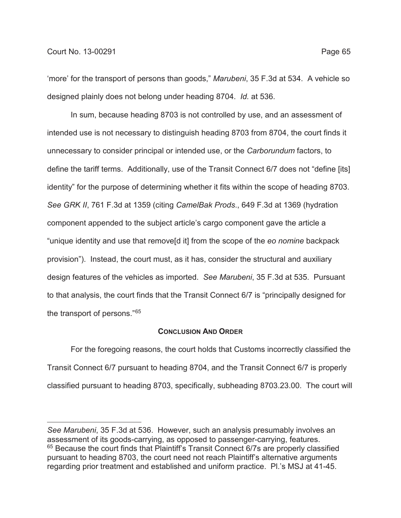'more' for the transport of persons than goods," *Marubeni*, 35 F.3d at 534. A vehicle so designed plainly does not belong under heading 8704. *Id.* at 536.

In sum, because heading 8703 is not controlled by use, and an assessment of intended use is not necessary to distinguish heading 8703 from 8704, the court finds it unnecessary to consider principal or intended use, or the *Carborundum* factors, to define the tariff terms. Additionally, use of the Transit Connect 6/7 does not "define [its] identity" for the purpose of determining whether it fits within the scope of heading 8703. *See GRK II*, 761 F.3d at 1359 (citing *CamelBak Prods*., 649 F.3d at 1369 (hydration component appended to the subject article's cargo component gave the article a "unique identity and use that remove[d it] from the scope of the *eo nomine* backpack provision"). Instead, the court must, as it has, consider the structural and auxiliary design features of the vehicles as imported. *See Marubeni*, 35 F.3d at 535. Pursuant to that analysis, the court finds that the Transit Connect 6/7 is "principally designed for the transport of persons."65

#### **CONCLUSION AND ORDER**

For the foregoing reasons, the court holds that Customs incorrectly classified the Transit Connect 6/7 pursuant to heading 8704, and the Transit Connect 6/7 is properly classified pursuant to heading 8703, specifically, subheading 8703.23.00. The court will

*See Marubeni*, 35 F.3d at 536. However, such an analysis presumably involves an assessment of its goods-carrying, as opposed to passenger-carrying, features. <sup>65</sup> Because the court finds that Plaintiff's Transit Connect 6/7s are properly classified pursuant to heading 8703, the court need not reach Plaintiff's alternative arguments regarding prior treatment and established and uniform practice. Pl.'s MSJ at 41-45.